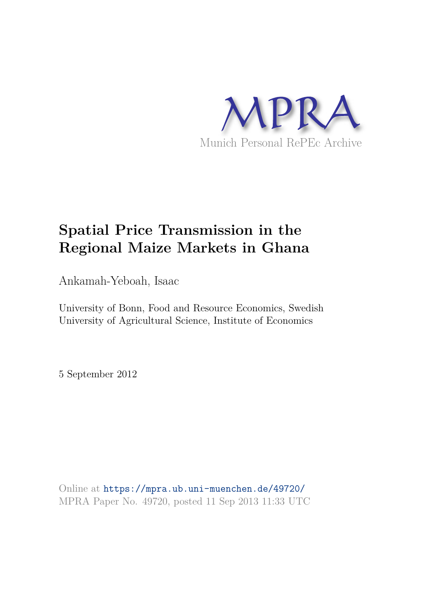

# **Spatial Price Transmission in the Regional Maize Markets in Ghana**

Ankamah-Yeboah, Isaac

University of Bonn, Food and Resource Economics, Swedish University of Agricultural Science, Institute of Economics

5 September 2012

Online at https://mpra.ub.uni-muenchen.de/49720/ MPRA Paper No. 49720, posted 11 Sep 2013 11:33 UTC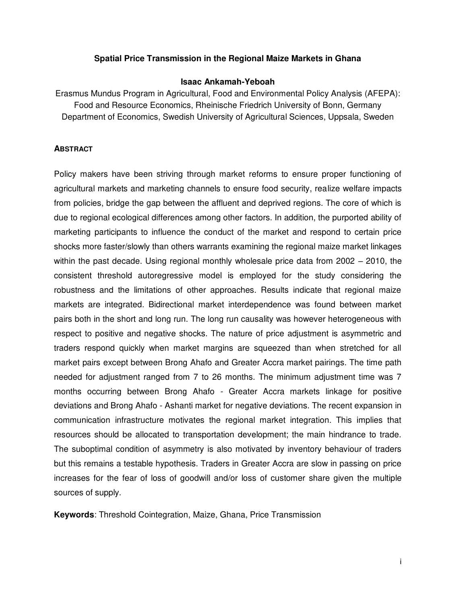#### **Spatial Price Transmission in the Regional Maize Markets in Ghana**

#### **Isaac Ankamah-Yeboah**

Erasmus Mundus Program in Agricultural, Food and Environmental Policy Analysis (AFEPA): Food and Resource Economics, Rheinische Friedrich University of Bonn, Germany Department of Economics, Swedish University of Agricultural Sciences, Uppsala, Sweden

#### **ABSTRACT**

Policy makers have been striving through market reforms to ensure proper functioning of agricultural markets and marketing channels to ensure food security, realize welfare impacts from policies, bridge the gap between the affluent and deprived regions. The core of which is due to regional ecological differences among other factors. In addition, the purported ability of marketing participants to influence the conduct of the market and respond to certain price shocks more faster/slowly than others warrants examining the regional maize market linkages within the past decade. Using regional monthly wholesale price data from 2002 – 2010, the consistent threshold autoregressive model is employed for the study considering the robustness and the limitations of other approaches. Results indicate that regional maize markets are integrated. Bidirectional market interdependence was found between market pairs both in the short and long run. The long run causality was however heterogeneous with respect to positive and negative shocks. The nature of price adjustment is asymmetric and traders respond quickly when market margins are squeezed than when stretched for all market pairs except between Brong Ahafo and Greater Accra market pairings. The time path needed for adjustment ranged from 7 to 26 months. The minimum adjustment time was 7 months occurring between Brong Ahafo - Greater Accra markets linkage for positive deviations and Brong Ahafo - Ashanti market for negative deviations. The recent expansion in communication infrastructure motivates the regional market integration. This implies that resources should be allocated to transportation development; the main hindrance to trade. The suboptimal condition of asymmetry is also motivated by inventory behaviour of traders but this remains a testable hypothesis. Traders in Greater Accra are slow in passing on price increases for the fear of loss of goodwill and/or loss of customer share given the multiple sources of supply.

**Keywords**: Threshold Cointegration, Maize, Ghana, Price Transmission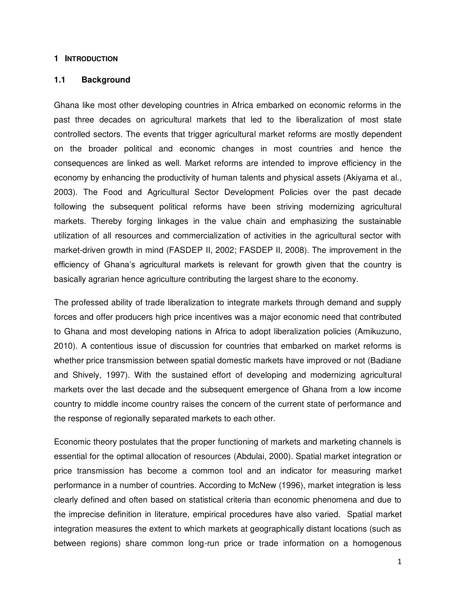#### **1 INTRODUCTION**

#### **1.1 Background**

Ghana like most other developing countries in Africa embarked on economic reforms in the past three decades on agricultural markets that led to the liberalization of most state controlled sectors. The events that trigger agricultural market reforms are mostly dependent on the broader political and economic changes in most countries and hence the consequences are linked as well. Market reforms are intended to improve efficiency in the economy by enhancing the productivity of human talents and physical assets (Akiyama et al., 2003). The Food and Agricultural Sector Development Policies over the past decade following the subsequent political reforms have been striving modernizing agricultural markets. Thereby forging linkages in the value chain and emphasizing the sustainable utilization of all resources and commercialization of activities in the agricultural sector with market-driven growth in mind (FASDEP II, 2002; FASDEP II, 2008). The improvement in the efficiency of Ghana's agricultural markets is relevant for growth given that the country is basically agrarian hence agriculture contributing the largest share to the economy.

The professed ability of trade liberalization to integrate markets through demand and supply forces and offer producers high price incentives was a major economic need that contributed to Ghana and most developing nations in Africa to adopt liberalization policies (Amikuzuno, 2010). A contentious issue of discussion for countries that embarked on market reforms is whether price transmission between spatial domestic markets have improved or not (Badiane and Shively, 1997). With the sustained effort of developing and modernizing agricultural markets over the last decade and the subsequent emergence of Ghana from a low income country to middle income country raises the concern of the current state of performance and the response of regionally separated markets to each other.

Economic theory postulates that the proper functioning of markets and marketing channels is essential for the optimal allocation of resources (Abdulai, 2000). Spatial market integration or price transmission has become a common tool and an indicator for measuring market performance in a number of countries. According to McNew (1996), market integration is less clearly defined and often based on statistical criteria than economic phenomena and due to the imprecise definition in literature, empirical procedures have also varied. Spatial market integration measures the extent to which markets at geographically distant locations (such as between regions) share common long-run price or trade information on a homogenous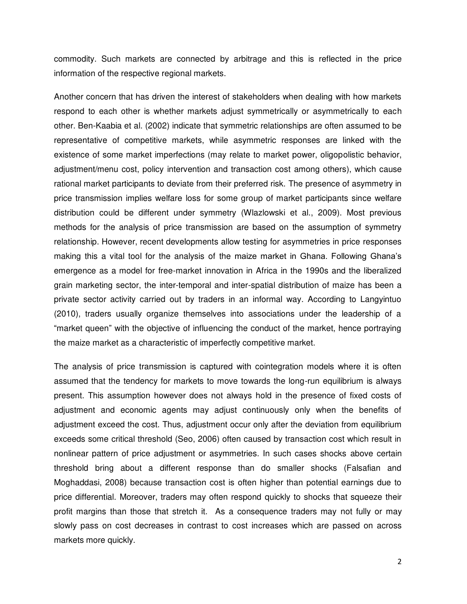commodity. Such markets are connected by arbitrage and this is reflected in the price information of the respective regional markets.

Another concern that has driven the interest of stakeholders when dealing with how markets respond to each other is whether markets adjust symmetrically or asymmetrically to each other. Ben-Kaabia et al. (2002) indicate that symmetric relationships are often assumed to be representative of competitive markets, while asymmetric responses are linked with the existence of some market imperfections (may relate to market power, oligopolistic behavior, adjustment/menu cost, policy intervention and transaction cost among others), which cause rational market participants to deviate from their preferred risk. The presence of asymmetry in price transmission implies welfare loss for some group of market participants since welfare distribution could be different under symmetry (Wlazlowski et al., 2009). Most previous methods for the analysis of price transmission are based on the assumption of symmetry relationship. However, recent developments allow testing for asymmetries in price responses making this a vital tool for the analysis of the maize market in Ghana. Following Ghana's emergence as a model for free-market innovation in Africa in the 1990s and the liberalized grain marketing sector, the inter-temporal and inter-spatial distribution of maize has been a private sector activity carried out by traders in an informal way. According to Langyintuo (2010), traders usually organize themselves into associations under the leadership of a "market queen" with the objective of influencing the conduct of the market, hence portraying the maize market as a characteristic of imperfectly competitive market.

The analysis of price transmission is captured with cointegration models where it is often assumed that the tendency for markets to move towards the long-run equilibrium is always present. This assumption however does not always hold in the presence of fixed costs of adjustment and economic agents may adjust continuously only when the benefits of adjustment exceed the cost. Thus, adjustment occur only after the deviation from equilibrium exceeds some critical threshold (Seo, 2006) often caused by transaction cost which result in nonlinear pattern of price adjustment or asymmetries. In such cases shocks above certain threshold bring about a different response than do smaller shocks (Falsafian and Moghaddasi, 2008) because transaction cost is often higher than potential earnings due to price differential. Moreover, traders may often respond quickly to shocks that squeeze their profit margins than those that stretch it. As a consequence traders may not fully or may slowly pass on cost decreases in contrast to cost increases which are passed on across markets more quickly.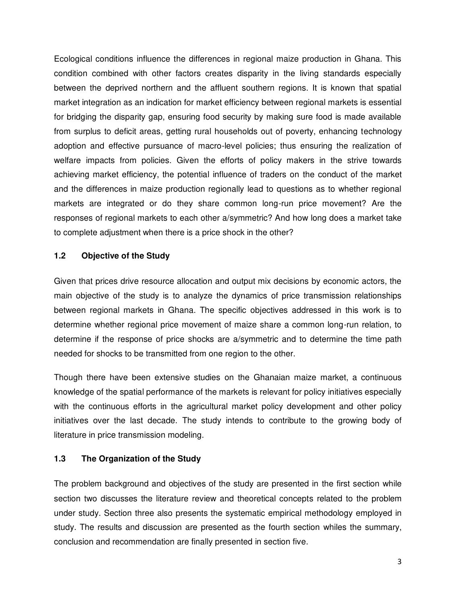Ecological conditions influence the differences in regional maize production in Ghana. This condition combined with other factors creates disparity in the living standards especially between the deprived northern and the affluent southern regions. It is known that spatial market integration as an indication for market efficiency between regional markets is essential for bridging the disparity gap, ensuring food security by making sure food is made available from surplus to deficit areas, getting rural households out of poverty, enhancing technology adoption and effective pursuance of macro-level policies; thus ensuring the realization of welfare impacts from policies. Given the efforts of policy makers in the strive towards achieving market efficiency, the potential influence of traders on the conduct of the market and the differences in maize production regionally lead to questions as to whether regional markets are integrated or do they share common long-run price movement? Are the responses of regional markets to each other a/symmetric? And how long does a market take to complete adjustment when there is a price shock in the other?

# **1.2 Objective of the Study**

Given that prices drive resource allocation and output mix decisions by economic actors, the main objective of the study is to analyze the dynamics of price transmission relationships between regional markets in Ghana. The specific objectives addressed in this work is to determine whether regional price movement of maize share a common long-run relation, to determine if the response of price shocks are a/symmetric and to determine the time path needed for shocks to be transmitted from one region to the other.

Though there have been extensive studies on the Ghanaian maize market, a continuous knowledge of the spatial performance of the markets is relevant for policy initiatives especially with the continuous efforts in the agricultural market policy development and other policy initiatives over the last decade. The study intends to contribute to the growing body of literature in price transmission modeling.

# **1.3 The Organization of the Study**

The problem background and objectives of the study are presented in the first section while section two discusses the literature review and theoretical concepts related to the problem under study. Section three also presents the systematic empirical methodology employed in study. The results and discussion are presented as the fourth section whiles the summary, conclusion and recommendation are finally presented in section five.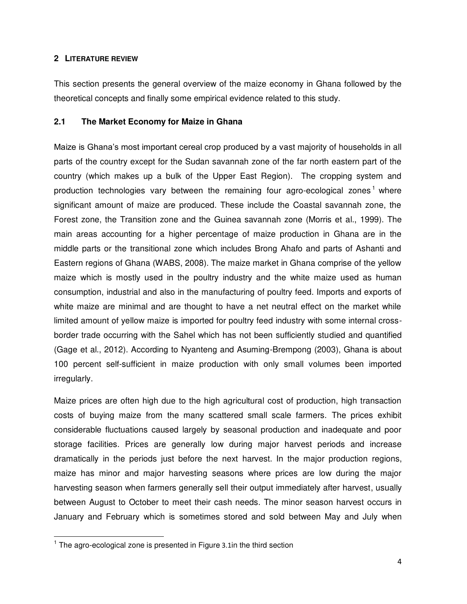# **2 LITERATURE REVIEW**

This section presents the general overview of the maize economy in Ghana followed by the theoretical concepts and finally some empirical evidence related to this study.

# **2.1 The Market Economy for Maize in Ghana**

Maize is Ghana's most important cereal crop produced by a vast majority of households in all parts of the country except for the Sudan savannah zone of the far north eastern part of the country (which makes up a bulk of the Upper East Region). The cropping system and production technologies vary between the remaining four agro-ecological zones<sup>1</sup> where significant amount of maize are produced. These include the Coastal savannah zone, the Forest zone, the Transition zone and the Guinea savannah zone (Morris et al., 1999). The main areas accounting for a higher percentage of maize production in Ghana are in the middle parts or the transitional zone which includes Brong Ahafo and parts of Ashanti and Eastern regions of Ghana (WABS, 2008). The maize market in Ghana comprise of the yellow maize which is mostly used in the poultry industry and the white maize used as human consumption, industrial and also in the manufacturing of poultry feed. Imports and exports of white maize are minimal and are thought to have a net neutral effect on the market while limited amount of yellow maize is imported for poultry feed industry with some internal crossborder trade occurring with the Sahel which has not been sufficiently studied and quantified (Gage et al., 2012). According to Nyanteng and Asuming-Brempong (2003), Ghana is about 100 percent self-sufficient in maize production with only small volumes been imported irregularly.

Maize prices are often high due to the high agricultural cost of production, high transaction costs of buying maize from the many scattered small scale farmers. The prices exhibit considerable fluctuations caused largely by seasonal production and inadequate and poor storage facilities. Prices are generally low during major harvest periods and increase dramatically in the periods just before the next harvest. In the major production regions, maize has minor and major harvesting seasons where prices are low during the major harvesting season when farmers generally sell their output immediately after harvest, usually between August to October to meet their cash needs. The minor season harvest occurs in January and February which is sometimes stored and sold between May and July when

ı

<sup>&</sup>lt;sup>1</sup> The agro-ecological zone is presented in [Figure](#page-23-0) 3.1in the third section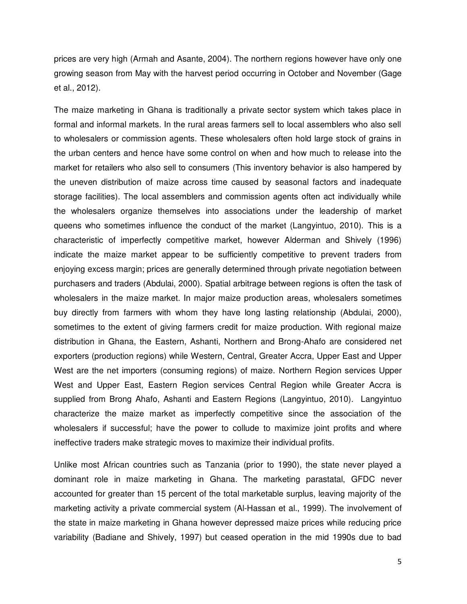prices are very high (Armah and Asante, 2004). The northern regions however have only one growing season from May with the harvest period occurring in October and November (Gage et al., 2012).

The maize marketing in Ghana is traditionally a private sector system which takes place in formal and informal markets. In the rural areas farmers sell to local assemblers who also sell to wholesalers or commission agents. These wholesalers often hold large stock of grains in the urban centers and hence have some control on when and how much to release into the market for retailers who also sell to consumers (This inventory behavior is also hampered by the uneven distribution of maize across time caused by seasonal factors and inadequate storage facilities). The local assemblers and commission agents often act individually while the wholesalers organize themselves into associations under the leadership of market queens who sometimes influence the conduct of the market (Langyintuo, 2010). This is a characteristic of imperfectly competitive market, however Alderman and Shively (1996) indicate the maize market appear to be sufficiently competitive to prevent traders from enjoying excess margin; prices are generally determined through private negotiation between purchasers and traders (Abdulai, 2000). Spatial arbitrage between regions is often the task of wholesalers in the maize market. In major maize production areas, wholesalers sometimes buy directly from farmers with whom they have long lasting relationship (Abdulai, 2000), sometimes to the extent of giving farmers credit for maize production. With regional maize distribution in Ghana, the Eastern, Ashanti, Northern and Brong-Ahafo are considered net exporters (production regions) while Western, Central, Greater Accra, Upper East and Upper West are the net importers (consuming regions) of maize. Northern Region services Upper West and Upper East, Eastern Region services Central Region while Greater Accra is supplied from Brong Ahafo, Ashanti and Eastern Regions (Langyintuo, 2010). Langyintuo characterize the maize market as imperfectly competitive since the association of the wholesalers if successful; have the power to collude to maximize joint profits and where ineffective traders make strategic moves to maximize their individual profits.

Unlike most African countries such as Tanzania (prior to 1990), the state never played a dominant role in maize marketing in Ghana. The marketing parastatal, GFDC never accounted for greater than 15 percent of the total marketable surplus, leaving majority of the marketing activity a private commercial system (Al-Hassan et al., 1999). The involvement of the state in maize marketing in Ghana however depressed maize prices while reducing price variability (Badiane and Shively, 1997) but ceased operation in the mid 1990s due to bad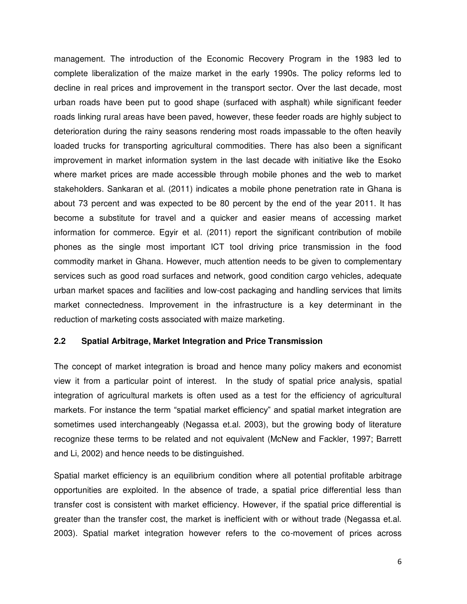management. The introduction of the Economic Recovery Program in the 1983 led to complete liberalization of the maize market in the early 1990s. The policy reforms led to decline in real prices and improvement in the transport sector. Over the last decade, most urban roads have been put to good shape (surfaced with asphalt) while significant feeder roads linking rural areas have been paved, however, these feeder roads are highly subject to deterioration during the rainy seasons rendering most roads impassable to the often heavily loaded trucks for transporting agricultural commodities. There has also been a significant improvement in market information system in the last decade with initiative like the Esoko where market prices are made accessible through mobile phones and the web to market stakeholders. Sankaran et al. (2011) indicates a mobile phone penetration rate in Ghana is about 73 percent and was expected to be 80 percent by the end of the year 2011. It has become a substitute for travel and a quicker and easier means of accessing market information for commerce. Egyir et al. (2011) report the significant contribution of mobile phones as the single most important ICT tool driving price transmission in the food commodity market in Ghana. However, much attention needs to be given to complementary services such as good road surfaces and network, good condition cargo vehicles, adequate urban market spaces and facilities and low-cost packaging and handling services that limits market connectedness. Improvement in the infrastructure is a key determinant in the reduction of marketing costs associated with maize marketing.

# **2.2 Spatial Arbitrage, Market Integration and Price Transmission**

The concept of market integration is broad and hence many policy makers and economist view it from a particular point of interest. In the study of spatial price analysis, spatial integration of agricultural markets is often used as a test for the efficiency of agricultural markets. For instance the term "spatial market efficiency" and spatial market integration are sometimes used interchangeably (Negassa et.al. 2003), but the growing body of literature recognize these terms to be related and not equivalent (McNew and Fackler, 1997; Barrett and Li, 2002) and hence needs to be distinguished.

Spatial market efficiency is an equilibrium condition where all potential profitable arbitrage opportunities are exploited. In the absence of trade, a spatial price differential less than transfer cost is consistent with market efficiency. However, if the spatial price differential is greater than the transfer cost, the market is inefficient with or without trade (Negassa et.al. 2003). Spatial market integration however refers to the co-movement of prices across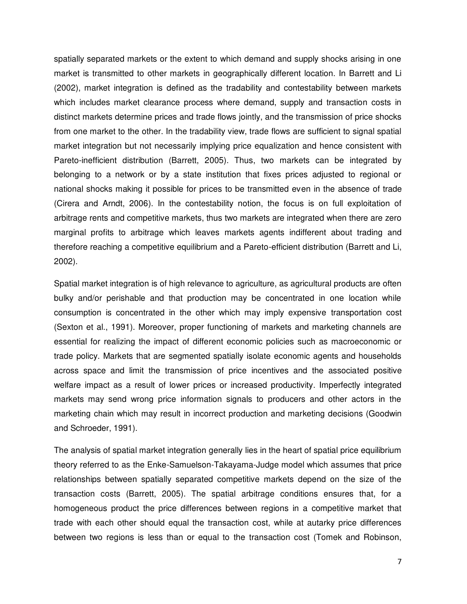spatially separated markets or the extent to which demand and supply shocks arising in one market is transmitted to other markets in geographically different location. In Barrett and Li (2002), market integration is defined as the tradability and contestability between markets which includes market clearance process where demand, supply and transaction costs in distinct markets determine prices and trade flows jointly, and the transmission of price shocks from one market to the other. In the tradability view, trade flows are sufficient to signal spatial market integration but not necessarily implying price equalization and hence consistent with Pareto-inefficient distribution (Barrett, 2005). Thus, two markets can be integrated by belonging to a network or by a state institution that fixes prices adjusted to regional or national shocks making it possible for prices to be transmitted even in the absence of trade (Cirera and Arndt, 2006). In the contestability notion, the focus is on full exploitation of arbitrage rents and competitive markets, thus two markets are integrated when there are zero marginal profits to arbitrage which leaves markets agents indifferent about trading and therefore reaching a competitive equilibrium and a Pareto-efficient distribution (Barrett and Li, 2002).

Spatial market integration is of high relevance to agriculture, as agricultural products are often bulky and/or perishable and that production may be concentrated in one location while consumption is concentrated in the other which may imply expensive transportation cost (Sexton et al., 1991). Moreover, proper functioning of markets and marketing channels are essential for realizing the impact of different economic policies such as macroeconomic or trade policy. Markets that are segmented spatially isolate economic agents and households across space and limit the transmission of price incentives and the associated positive welfare impact as a result of lower prices or increased productivity. Imperfectly integrated markets may send wrong price information signals to producers and other actors in the marketing chain which may result in incorrect production and marketing decisions (Goodwin and Schroeder, 1991).

The analysis of spatial market integration generally lies in the heart of spatial price equilibrium theory referred to as the Enke-Samuelson-Takayama-Judge model which assumes that price relationships between spatially separated competitive markets depend on the size of the transaction costs (Barrett, 2005). The spatial arbitrage conditions ensures that, for a homogeneous product the price differences between regions in a competitive market that trade with each other should equal the transaction cost, while at autarky price differences between two regions is less than or equal to the transaction cost (Tomek and Robinson,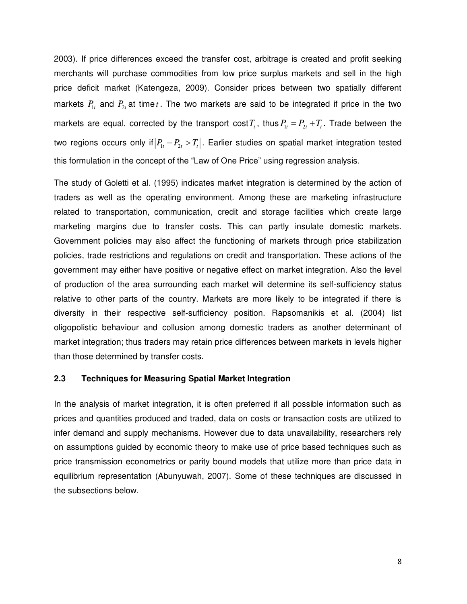2003). If price differences exceed the transfer cost, arbitrage is created and profit seeking merchants will purchase commodities from low price surplus markets and sell in the high price deficit market (Katengeza, 2009). Consider prices between two spatially different markets  $P_{1t}$  and  $P_{2t}$  at time *t*. The two markets are said to be integrated if price in the two markets are equal, corrected by the transport cost  $T_t$ , thus  $P_{1t} = P_{2t} + T_t$ . Trade between the two regions occurs only if  $|P_{1t}-P_{2t}>T_t|$ . Earlier studies on spatial market integration tested this formulation in the concept of the "Law of One Price" using regression analysis.

The study of Goletti et al. (1995) indicates market integration is determined by the action of traders as well as the operating environment. Among these are marketing infrastructure related to transportation, communication, credit and storage facilities which create large marketing margins due to transfer costs. This can partly insulate domestic markets. Government policies may also affect the functioning of markets through price stabilization policies, trade restrictions and regulations on credit and transportation. These actions of the government may either have positive or negative effect on market integration. Also the level of production of the area surrounding each market will determine its self-sufficiency status relative to other parts of the country. Markets are more likely to be integrated if there is diversity in their respective self-sufficiency position. Rapsomanikis et al. (2004) list oligopolistic behaviour and collusion among domestic traders as another determinant of market integration; thus traders may retain price differences between markets in levels higher than those determined by transfer costs.

# **2.3 Techniques for Measuring Spatial Market Integration**

In the analysis of market integration, it is often preferred if all possible information such as prices and quantities produced and traded, data on costs or transaction costs are utilized to infer demand and supply mechanisms. However due to data unavailability, researchers rely on assumptions guided by economic theory to make use of price based techniques such as price transmission econometrics or parity bound models that utilize more than price data in equilibrium representation (Abunyuwah, 2007). Some of these techniques are discussed in the subsections below.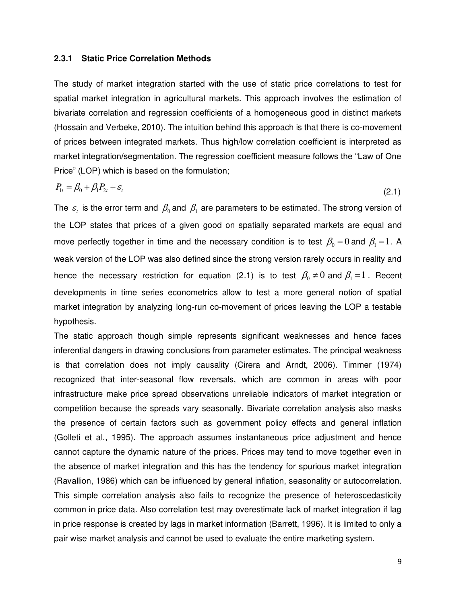#### **2.3.1 Static Price Correlation Methods**

The study of market integration started with the use of static price correlations to test for spatial market integration in agricultural markets. This approach involves the estimation of bivariate correlation and regression coefficients of a homogeneous good in distinct markets (Hossain and Verbeke, 2010). The intuition behind this approach is that there is co-movement of prices between integrated markets. Thus high/low correlation coefficient is interpreted as market integration/segmentation. The regression coefficient measure follows the "Law of One Price" (LOP) which is based on the formulation;

$$
P_{1t} = \beta_0 + \beta_1 P_{2t} + \varepsilon_t \tag{2.1}
$$

The  $\varepsilon$ <sub>c</sub> is the error term and  $\beta_0$  and  $\beta_1$  are parameters to be estimated. The strong version of the LOP states that prices of a given good on spatially separated markets are equal and move perfectly together in time and the necessary condition is to test  $\beta_0 = 0$  and  $\beta_1 = 1$ . A weak version of the LOP was also defined since the strong version rarely occurs in reality and hence the necessary restriction for equation (2.1) is to test  $\beta_0 \neq 0$  and  $\beta_1 = 1$ . Recent developments in time series econometrics allow to test a more general notion of spatial market integration by analyzing long-run co-movement of prices leaving the LOP a testable hypothesis.

The static approach though simple represents significant weaknesses and hence faces inferential dangers in drawing conclusions from parameter estimates. The principal weakness is that correlation does not imply causality (Cirera and Arndt, 2006). Timmer (1974) recognized that inter-seasonal flow reversals, which are common in areas with poor infrastructure make price spread observations unreliable indicators of market integration or competition because the spreads vary seasonally. Bivariate correlation analysis also masks the presence of certain factors such as government policy effects and general inflation (Golleti et al., 1995). The approach assumes instantaneous price adjustment and hence cannot capture the dynamic nature of the prices. Prices may tend to move together even in the absence of market integration and this has the tendency for spurious market integration (Ravallion, 1986) which can be influenced by general inflation, seasonality or autocorrelation. This simple correlation analysis also fails to recognize the presence of heteroscedasticity common in price data. Also correlation test may overestimate lack of market integration if lag in price response is created by lags in market information (Barrett, 1996). It is limited to only a pair wise market analysis and cannot be used to evaluate the entire marketing system.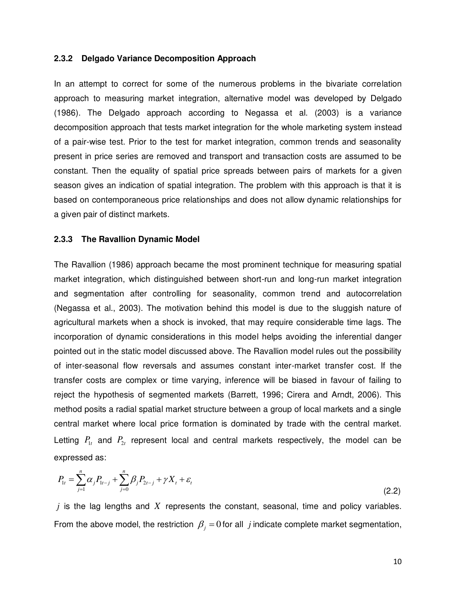#### **2.3.2 Delgado Variance Decomposition Approach**

In an attempt to correct for some of the numerous problems in the bivariate correlation approach to measuring market integration, alternative model was developed by Delgado (1986). The Delgado approach according to Negassa et al. (2003) is a variance decomposition approach that tests market integration for the whole marketing system instead of a pair-wise test. Prior to the test for market integration, common trends and seasonality present in price series are removed and transport and transaction costs are assumed to be constant. Then the equality of spatial price spreads between pairs of markets for a given season gives an indication of spatial integration. The problem with this approach is that it is based on contemporaneous price relationships and does not allow dynamic relationships for a given pair of distinct markets.

# **2.3.3 The Ravallion Dynamic Model**

The Ravallion (1986) approach became the most prominent technique for measuring spatial market integration, which distinguished between short-run and long-run market integration and segmentation after controlling for seasonality, common trend and autocorrelation (Negassa et al., 2003). The motivation behind this model is due to the sluggish nature of agricultural markets when a shock is invoked, that may require considerable time lags. The incorporation of dynamic considerations in this model helps avoiding the inferential danger pointed out in the static model discussed above. The Ravallion model rules out the possibility of inter-seasonal flow reversals and assumes constant inter-market transfer cost. If the transfer costs are complex or time varying, inference will be biased in favour of failing to reject the hypothesis of segmented markets (Barrett, 1996; Cirera and Arndt, 2006). This method posits a radial spatial market structure between a group of local markets and a single central market where local price formation is dominated by trade with the central market. Letting  $P_{1t}$  and  $P_{2t}$  represent local and central markets respectively, the model can be expressed as:

$$
P_{1t} = \sum_{j=1}^{n} \alpha_j P_{1t-j} + \sum_{j=0}^{n} \beta_j P_{2t-j} + \gamma X_t + \varepsilon_t
$$
\n(2.2)

*j* is the lag lengths and *X* represents the constant, seasonal, time and policy variables. From the above model, the restriction  $\beta_j = 0$  for all *j* indicate complete market segmentation,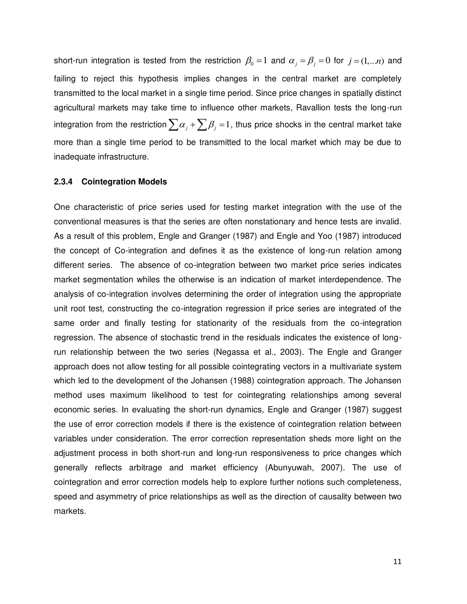short-run integration is tested from the restriction  $\beta_0 = 1$  and  $\alpha_j = \beta_j = 0$  for  $j = (1,...n)$  and failing to reject this hypothesis implies changes in the central market are completely transmitted to the local market in a single time period. Since price changes in spatially distinct agricultural markets may take time to influence other markets, Ravallion tests the long-run integration from the restriction  $\sum \alpha_j + \sum \beta_j = 1$ , thus price shocks in the central market take more than a single time period to be transmitted to the local market which may be due to inadequate infrastructure.

#### **2.3.4 Cointegration Models**

One characteristic of price series used for testing market integration with the use of the conventional measures is that the series are often nonstationary and hence tests are invalid. As a result of this problem, Engle and Granger (1987) and Engle and Yoo (1987) introduced the concept of Co-integration and defines it as the existence of long-run relation among different series. The absence of co-integration between two market price series indicates market segmentation whiles the otherwise is an indication of market interdependence. The analysis of co-integration involves determining the order of integration using the appropriate unit root test, constructing the co-integration regression if price series are integrated of the same order and finally testing for stationarity of the residuals from the co-integration regression. The absence of stochastic trend in the residuals indicates the existence of longrun relationship between the two series (Negassa et al., 2003). The Engle and Granger approach does not allow testing for all possible cointegrating vectors in a multivariate system which led to the development of the Johansen (1988) cointegration approach. The Johansen method uses maximum likelihood to test for cointegrating relationships among several economic series. In evaluating the short-run dynamics, Engle and Granger (1987) suggest the use of error correction models if there is the existence of cointegration relation between variables under consideration. The error correction representation sheds more light on the adjustment process in both short-run and long-run responsiveness to price changes which generally reflects arbitrage and market efficiency (Abunyuwah, 2007). The use of cointegration and error correction models help to explore further notions such completeness, speed and asymmetry of price relationships as well as the direction of causality between two markets.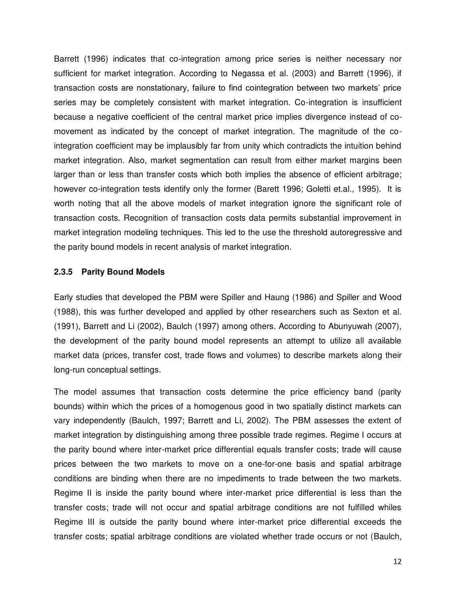Barrett (1996) indicates that co-integration among price series is neither necessary nor sufficient for market integration. According to Negassa et al. (2003) and Barrett (1996), if transaction costs are nonstationary, failure to find cointegration between two markets' price series may be completely consistent with market integration. Co-integration is insufficient because a negative coefficient of the central market price implies divergence instead of comovement as indicated by the concept of market integration. The magnitude of the cointegration coefficient may be implausibly far from unity which contradicts the intuition behind market integration. Also, market segmentation can result from either market margins been larger than or less than transfer costs which both implies the absence of efficient arbitrage; however co-integration tests identify only the former (Barett 1996; Goletti et.al., 1995). It is worth noting that all the above models of market integration ignore the significant role of transaction costs. Recognition of transaction costs data permits substantial improvement in market integration modeling techniques. This led to the use the threshold autoregressive and the parity bound models in recent analysis of market integration.

#### **2.3.5 Parity Bound Models**

Early studies that developed the PBM were Spiller and Haung (1986) and Spiller and Wood (1988), this was further developed and applied by other researchers such as Sexton et al. (1991), Barrett and Li (2002), Baulch (1997) among others. According to Abunyuwah (2007), the development of the parity bound model represents an attempt to utilize all available market data (prices, transfer cost, trade flows and volumes) to describe markets along their long-run conceptual settings.

The model assumes that transaction costs determine the price efficiency band (parity bounds) within which the prices of a homogenous good in two spatially distinct markets can vary independently (Baulch, 1997; Barrett and Li, 2002). The PBM assesses the extent of market integration by distinguishing among three possible trade regimes. Regime I occurs at the parity bound where inter-market price differential equals transfer costs; trade will cause prices between the two markets to move on a one-for-one basis and spatial arbitrage conditions are binding when there are no impediments to trade between the two markets. Regime II is inside the parity bound where inter-market price differential is less than the transfer costs; trade will not occur and spatial arbitrage conditions are not fulfilled whiles Regime III is outside the parity bound where inter-market price differential exceeds the transfer costs; spatial arbitrage conditions are violated whether trade occurs or not (Baulch,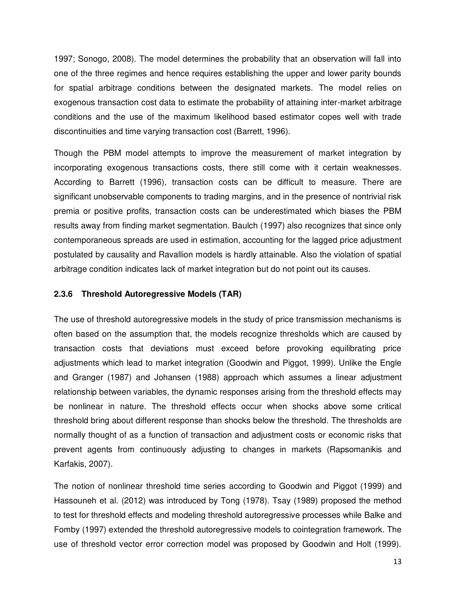1997; Sonogo, 2008). The model determines the probability that an observation will fall into one of the three regimes and hence requires establishing the upper and lower parity bounds for spatial arbitrage conditions between the designated markets. The model relies on exogenous transaction cost data to estimate the probability of attaining inter-market arbitrage conditions and the use of the maximum likelihood based estimator copes well with trade discontinuities and time varying transaction cost (Barrett, 1996).

Though the PBM model attempts to improve the measurement of market integration by incorporating exogenous transactions costs, there still come with it certain weaknesses. According to Barrett (1996), transaction costs can be difficult to measure. There are significant unobservable components to trading margins, and in the presence of nontrivial risk premia or positive profits, transaction costs can be underestimated which biases the PBM results away from finding market segmentation. Baulch (1997) also recognizes that since only contemporaneous spreads are used in estimation, accounting for the lagged price adjustment postulated by causality and Ravallion models is hardly attainable. Also the violation of spatial arbitrage condition indicates lack of market integration but do not point out its causes.

## **2.3.6 Threshold Autoregressive Models (TAR)**

The use of threshold autoregressive models in the study of price transmission mechanisms is often based on the assumption that, the models recognize thresholds which are caused by transaction costs that deviations must exceed before provoking equilibrating price adjustments which lead to market integration (Goodwin and Piggot, 1999). Unlike the Engle and Granger (1987) and Johansen (1988) approach which assumes a linear adjustment relationship between variables, the dynamic responses arising from the threshold effects may be nonlinear in nature. The threshold effects occur when shocks above some critical threshold bring about different response than shocks below the threshold. The thresholds are normally thought of as a function of transaction and adjustment costs or economic risks that prevent agents from continuously adjusting to changes in markets (Rapsomanikis and Karfakis, 2007).

The notion of nonlinear threshold time series according to Goodwin and Piggot (1999) and Hassouneh et al. (2012) was introduced by Tong (1978). Tsay (1989) proposed the method to test for threshold effects and modeling threshold autoregressive processes while Balke and Fomby (1997) extended the threshold autoregressive models to cointegration framework. The use of threshold vector error correction model was proposed by Goodwin and Holt (1999).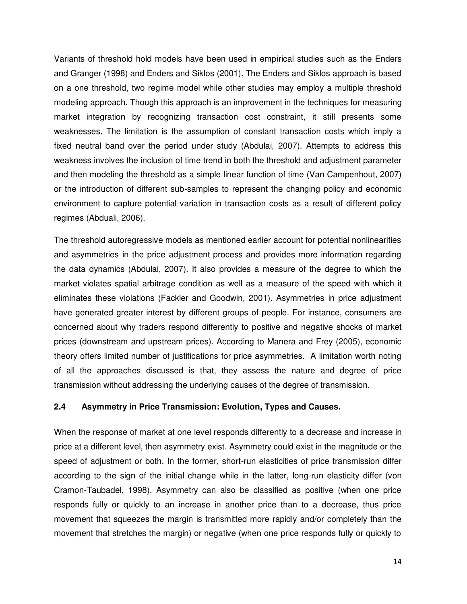Variants of threshold hold models have been used in empirical studies such as the Enders and Granger (1998) and Enders and Siklos (2001). The Enders and Siklos approach is based on a one threshold, two regime model while other studies may employ a multiple threshold modeling approach. Though this approach is an improvement in the techniques for measuring market integration by recognizing transaction cost constraint, it still presents some weaknesses. The limitation is the assumption of constant transaction costs which imply a fixed neutral band over the period under study (Abdulai, 2007). Attempts to address this weakness involves the inclusion of time trend in both the threshold and adjustment parameter and then modeling the threshold as a simple linear function of time (Van Campenhout, 2007) or the introduction of different sub-samples to represent the changing policy and economic environment to capture potential variation in transaction costs as a result of different policy regimes (Abduali, 2006).

The threshold autoregressive models as mentioned earlier account for potential nonlinearities and asymmetries in the price adjustment process and provides more information regarding the data dynamics (Abdulai, 2007). It also provides a measure of the degree to which the market violates spatial arbitrage condition as well as a measure of the speed with which it eliminates these violations (Fackler and Goodwin, 2001). Asymmetries in price adjustment have generated greater interest by different groups of people. For instance, consumers are concerned about why traders respond differently to positive and negative shocks of market prices (downstream and upstream prices). According to Manera and Frey (2005), economic theory offers limited number of justifications for price asymmetries. A limitation worth noting of all the approaches discussed is that, they assess the nature and degree of price transmission without addressing the underlying causes of the degree of transmission.

# **2.4 Asymmetry in Price Transmission: Evolution, Types and Causes.**

When the response of market at one level responds differently to a decrease and increase in price at a different level, then asymmetry exist. Asymmetry could exist in the magnitude or the speed of adjustment or both. In the former, short-run elasticities of price transmission differ according to the sign of the initial change while in the latter, long-run elasticity differ (von Cramon-Taubadel, 1998). Asymmetry can also be classified as positive (when one price responds fully or quickly to an increase in another price than to a decrease, thus price movement that squeezes the margin is transmitted more rapidly and/or completely than the movement that stretches the margin) or negative (when one price responds fully or quickly to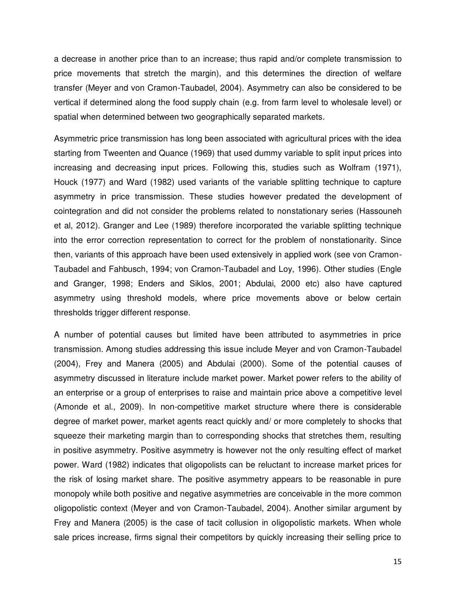a decrease in another price than to an increase; thus rapid and/or complete transmission to price movements that stretch the margin), and this determines the direction of welfare transfer (Meyer and von Cramon-Taubadel, 2004). Asymmetry can also be considered to be vertical if determined along the food supply chain (e.g. from farm level to wholesale level) or spatial when determined between two geographically separated markets.

Asymmetric price transmission has long been associated with agricultural prices with the idea starting from Tweenten and Quance (1969) that used dummy variable to split input prices into increasing and decreasing input prices. Following this, studies such as Wolfram (1971), Houck (1977) and Ward (1982) used variants of the variable splitting technique to capture asymmetry in price transmission. These studies however predated the development of cointegration and did not consider the problems related to nonstationary series (Hassouneh et al, 2012). Granger and Lee (1989) therefore incorporated the variable splitting technique into the error correction representation to correct for the problem of nonstationarity. Since then, variants of this approach have been used extensively in applied work (see von Cramon-Taubadel and Fahbusch, 1994; von Cramon-Taubadel and Loy, 1996). Other studies (Engle and Granger, 1998; Enders and Siklos, 2001; Abdulai, 2000 etc) also have captured asymmetry using threshold models, where price movements above or below certain thresholds trigger different response.

A number of potential causes but limited have been attributed to asymmetries in price transmission. Among studies addressing this issue include Meyer and von Cramon-Taubadel (2004), Frey and Manera (2005) and Abdulai (2000). Some of the potential causes of asymmetry discussed in literature include market power. Market power refers to the ability of an enterprise or a group of enterprises to raise and maintain price above a competitive level (Amonde et al., 2009). In non-competitive market structure where there is considerable degree of market power, market agents react quickly and/ or more completely to shocks that squeeze their marketing margin than to corresponding shocks that stretches them, resulting in positive asymmetry. Positive asymmetry is however not the only resulting effect of market power. Ward (1982) indicates that oligopolists can be reluctant to increase market prices for the risk of losing market share. The positive asymmetry appears to be reasonable in pure monopoly while both positive and negative asymmetries are conceivable in the more common oligopolistic context (Meyer and von Cramon-Taubadel, 2004). Another similar argument by Frey and Manera (2005) is the case of tacit collusion in oligopolistic markets. When whole sale prices increase, firms signal their competitors by quickly increasing their selling price to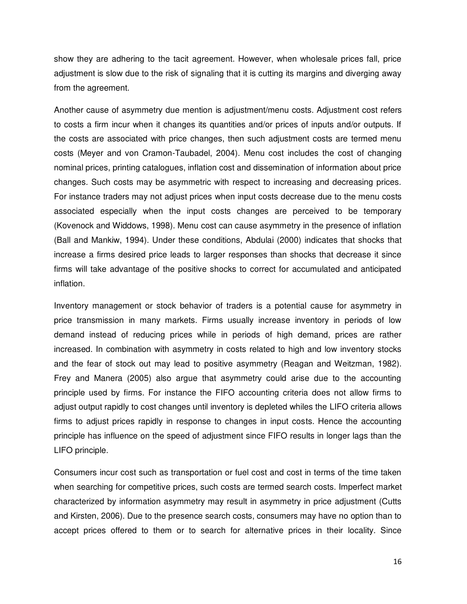show they are adhering to the tacit agreement. However, when wholesale prices fall, price adjustment is slow due to the risk of signaling that it is cutting its margins and diverging away from the agreement.

Another cause of asymmetry due mention is adjustment/menu costs. Adjustment cost refers to costs a firm incur when it changes its quantities and/or prices of inputs and/or outputs. If the costs are associated with price changes, then such adjustment costs are termed menu costs (Meyer and von Cramon-Taubadel, 2004). Menu cost includes the cost of changing nominal prices, printing catalogues, inflation cost and dissemination of information about price changes. Such costs may be asymmetric with respect to increasing and decreasing prices. For instance traders may not adjust prices when input costs decrease due to the menu costs associated especially when the input costs changes are perceived to be temporary (Kovenock and Widdows, 1998). Menu cost can cause asymmetry in the presence of inflation (Ball and Mankiw, 1994). Under these conditions, Abdulai (2000) indicates that shocks that increase a firms desired price leads to larger responses than shocks that decrease it since firms will take advantage of the positive shocks to correct for accumulated and anticipated inflation.

Inventory management or stock behavior of traders is a potential cause for asymmetry in price transmission in many markets. Firms usually increase inventory in periods of low demand instead of reducing prices while in periods of high demand, prices are rather increased. In combination with asymmetry in costs related to high and low inventory stocks and the fear of stock out may lead to positive asymmetry (Reagan and Weitzman, 1982). Frey and Manera (2005) also argue that asymmetry could arise due to the accounting principle used by firms. For instance the FIFO accounting criteria does not allow firms to adjust output rapidly to cost changes until inventory is depleted whiles the LIFO criteria allows firms to adjust prices rapidly in response to changes in input costs. Hence the accounting principle has influence on the speed of adjustment since FIFO results in longer lags than the LIFO principle.

Consumers incur cost such as transportation or fuel cost and cost in terms of the time taken when searching for competitive prices, such costs are termed search costs. Imperfect market characterized by information asymmetry may result in asymmetry in price adjustment (Cutts and Kirsten, 2006). Due to the presence search costs, consumers may have no option than to accept prices offered to them or to search for alternative prices in their locality. Since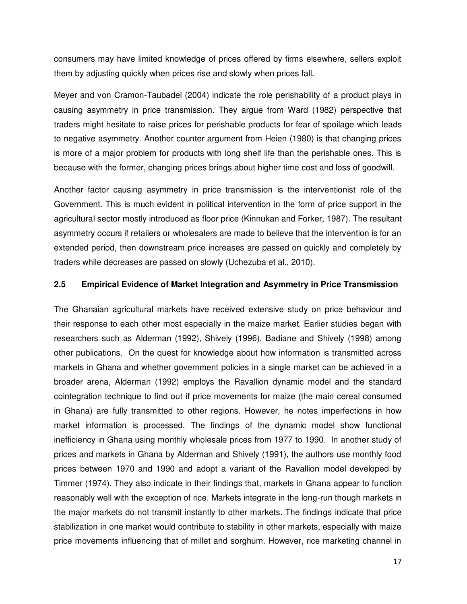consumers may have limited knowledge of prices offered by firms elsewhere, sellers exploit them by adjusting quickly when prices rise and slowly when prices fall.

Meyer and von Cramon-Taubadel (2004) indicate the role perishability of a product plays in causing asymmetry in price transmission. They argue from Ward (1982) perspective that traders might hesitate to raise prices for perishable products for fear of spoilage which leads to negative asymmetry. Another counter argument from Heien (1980) is that changing prices is more of a major problem for products with long shelf life than the perishable ones. This is because with the former, changing prices brings about higher time cost and loss of goodwill.

Another factor causing asymmetry in price transmission is the interventionist role of the Government. This is much evident in political intervention in the form of price support in the agricultural sector mostly introduced as floor price (Kinnukan and Forker, 1987). The resultant asymmetry occurs if retailers or wholesalers are made to believe that the intervention is for an extended period, then downstream price increases are passed on quickly and completely by traders while decreases are passed on slowly (Uchezuba et al., 2010).

## **2.5 Empirical Evidence of Market Integration and Asymmetry in Price Transmission**

The Ghanaian agricultural markets have received extensive study on price behaviour and their response to each other most especially in the maize market. Earlier studies began with researchers such as Alderman (1992), Shively (1996), Badiane and Shively (1998) among other publications. On the quest for knowledge about how information is transmitted across markets in Ghana and whether government policies in a single market can be achieved in a broader arena, Alderman (1992) employs the Ravallion dynamic model and the standard cointegration technique to find out if price movements for maize (the main cereal consumed in Ghana) are fully transmitted to other regions. However, he notes imperfections in how market information is processed. The findings of the dynamic model show functional inefficiency in Ghana using monthly wholesale prices from 1977 to 1990. In another study of prices and markets in Ghana by Alderman and Shively (1991), the authors use monthly food prices between 1970 and 1990 and adopt a variant of the Ravallion model developed by Timmer (1974). They also indicate in their findings that, markets in Ghana appear to function reasonably well with the exception of rice. Markets integrate in the long-run though markets in the major markets do not transmit instantly to other markets. The findings indicate that price stabilization in one market would contribute to stability in other markets, especially with maize price movements influencing that of millet and sorghum. However, rice marketing channel in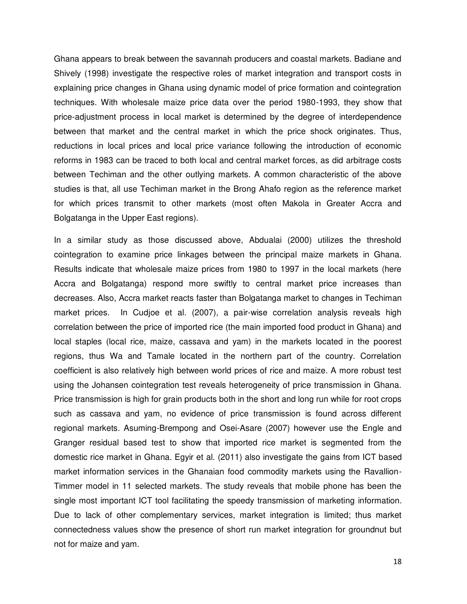Ghana appears to break between the savannah producers and coastal markets. Badiane and Shively (1998) investigate the respective roles of market integration and transport costs in explaining price changes in Ghana using dynamic model of price formation and cointegration techniques. With wholesale maize price data over the period 1980-1993, they show that price-adjustment process in local market is determined by the degree of interdependence between that market and the central market in which the price shock originates. Thus, reductions in local prices and local price variance following the introduction of economic reforms in 1983 can be traced to both local and central market forces, as did arbitrage costs between Techiman and the other outlying markets. A common characteristic of the above studies is that, all use Techiman market in the Brong Ahafo region as the reference market for which prices transmit to other markets (most often Makola in Greater Accra and Bolgatanga in the Upper East regions).

In a similar study as those discussed above, Abdualai (2000) utilizes the threshold cointegration to examine price linkages between the principal maize markets in Ghana. Results indicate that wholesale maize prices from 1980 to 1997 in the local markets (here Accra and Bolgatanga) respond more swiftly to central market price increases than decreases. Also, Accra market reacts faster than Bolgatanga market to changes in Techiman market prices. In Cudjoe et al. (2007), a pair-wise correlation analysis reveals high correlation between the price of imported rice (the main imported food product in Ghana) and local staples (local rice, maize, cassava and yam) in the markets located in the poorest regions, thus Wa and Tamale located in the northern part of the country. Correlation coefficient is also relatively high between world prices of rice and maize. A more robust test using the Johansen cointegration test reveals heterogeneity of price transmission in Ghana. Price transmission is high for grain products both in the short and long run while for root crops such as cassava and yam, no evidence of price transmission is found across different regional markets. Asuming-Brempong and Osei-Asare (2007) however use the Engle and Granger residual based test to show that imported rice market is segmented from the domestic rice market in Ghana. Egyir et al. (2011) also investigate the gains from ICT based market information services in the Ghanaian food commodity markets using the Ravallion-Timmer model in 11 selected markets. The study reveals that mobile phone has been the single most important ICT tool facilitating the speedy transmission of marketing information. Due to lack of other complementary services, market integration is limited; thus market connectedness values show the presence of short run market integration for groundnut but not for maize and yam.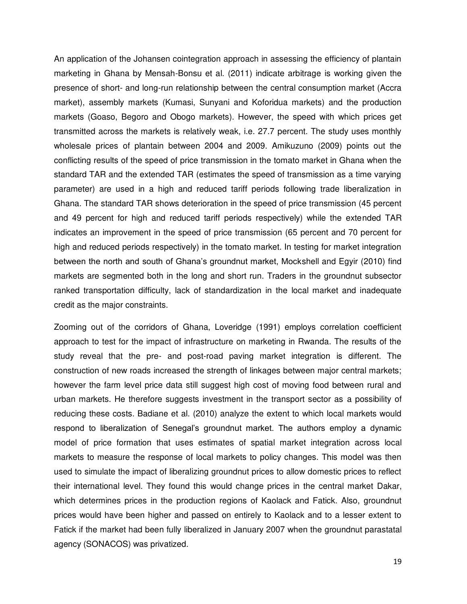An application of the Johansen cointegration approach in assessing the efficiency of plantain marketing in Ghana by Mensah-Bonsu et al. (2011) indicate arbitrage is working given the presence of short- and long-run relationship between the central consumption market (Accra market), assembly markets (Kumasi, Sunyani and Koforidua markets) and the production markets (Goaso, Begoro and Obogo markets). However, the speed with which prices get transmitted across the markets is relatively weak, i.e. 27.7 percent. The study uses monthly wholesale prices of plantain between 2004 and 2009. Amikuzuno (2009) points out the conflicting results of the speed of price transmission in the tomato market in Ghana when the standard TAR and the extended TAR (estimates the speed of transmission as a time varying parameter) are used in a high and reduced tariff periods following trade liberalization in Ghana. The standard TAR shows deterioration in the speed of price transmission (45 percent and 49 percent for high and reduced tariff periods respectively) while the extended TAR indicates an improvement in the speed of price transmission (65 percent and 70 percent for high and reduced periods respectively) in the tomato market. In testing for market integration between the north and south of Ghana's groundnut market, Mockshell and Egyir (2010) find markets are segmented both in the long and short run. Traders in the groundnut subsector ranked transportation difficulty, lack of standardization in the local market and inadequate credit as the major constraints.

Zooming out of the corridors of Ghana, Loveridge (1991) employs correlation coefficient approach to test for the impact of infrastructure on marketing in Rwanda. The results of the study reveal that the pre- and post-road paving market integration is different. The construction of new roads increased the strength of linkages between major central markets; however the farm level price data still suggest high cost of moving food between rural and urban markets. He therefore suggests investment in the transport sector as a possibility of reducing these costs. Badiane et al. (2010) analyze the extent to which local markets would respond to liberalization of Senegal's groundnut market. The authors employ a dynamic model of price formation that uses estimates of spatial market integration across local markets to measure the response of local markets to policy changes. This model was then used to simulate the impact of liberalizing groundnut prices to allow domestic prices to reflect their international level. They found this would change prices in the central market Dakar, which determines prices in the production regions of Kaolack and Fatick. Also, groundnut prices would have been higher and passed on entirely to Kaolack and to a lesser extent to Fatick if the market had been fully liberalized in January 2007 when the groundnut parastatal agency (SONACOS) was privatized.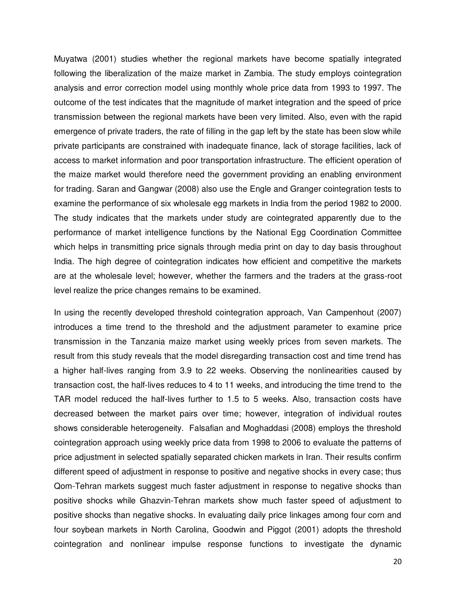Muyatwa (2001) studies whether the regional markets have become spatially integrated following the liberalization of the maize market in Zambia. The study employs cointegration analysis and error correction model using monthly whole price data from 1993 to 1997. The outcome of the test indicates that the magnitude of market integration and the speed of price transmission between the regional markets have been very limited. Also, even with the rapid emergence of private traders, the rate of filling in the gap left by the state has been slow while private participants are constrained with inadequate finance, lack of storage facilities, lack of access to market information and poor transportation infrastructure. The efficient operation of the maize market would therefore need the government providing an enabling environment for trading. Saran and Gangwar (2008) also use the Engle and Granger cointegration tests to examine the performance of six wholesale egg markets in India from the period 1982 to 2000. The study indicates that the markets under study are cointegrated apparently due to the performance of market intelligence functions by the National Egg Coordination Committee which helps in transmitting price signals through media print on day to day basis throughout India. The high degree of cointegration indicates how efficient and competitive the markets are at the wholesale level; however, whether the farmers and the traders at the grass-root level realize the price changes remains to be examined.

In using the recently developed threshold cointegration approach, Van Campenhout (2007) introduces a time trend to the threshold and the adjustment parameter to examine price transmission in the Tanzania maize market using weekly prices from seven markets. The result from this study reveals that the model disregarding transaction cost and time trend has a higher half-lives ranging from 3.9 to 22 weeks. Observing the nonlinearities caused by transaction cost, the half-lives reduces to 4 to 11 weeks, and introducing the time trend to the TAR model reduced the half-lives further to 1.5 to 5 weeks. Also, transaction costs have decreased between the market pairs over time; however, integration of individual routes shows considerable heterogeneity. Falsafian and Moghaddasi (2008) employs the threshold cointegration approach using weekly price data from 1998 to 2006 to evaluate the patterns of price adjustment in selected spatially separated chicken markets in Iran. Their results confirm different speed of adjustment in response to positive and negative shocks in every case; thus Qom-Tehran markets suggest much faster adjustment in response to negative shocks than positive shocks while Ghazvin-Tehran markets show much faster speed of adjustment to positive shocks than negative shocks. In evaluating daily price linkages among four corn and four soybean markets in North Carolina, Goodwin and Piggot (2001) adopts the threshold cointegration and nonlinear impulse response functions to investigate the dynamic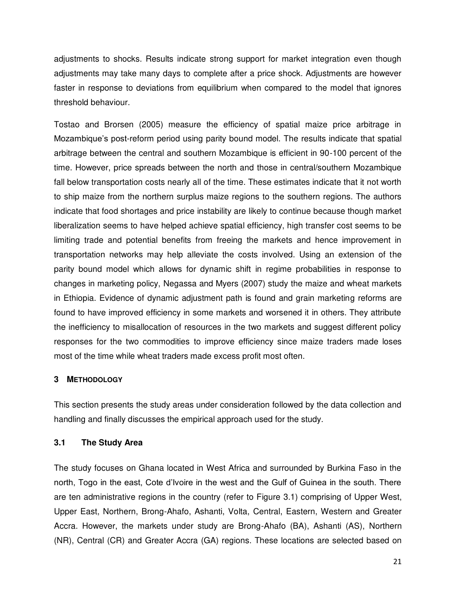adjustments to shocks. Results indicate strong support for market integration even though adjustments may take many days to complete after a price shock. Adjustments are however faster in response to deviations from equilibrium when compared to the model that ignores threshold behaviour.

Tostao and Brorsen (2005) measure the efficiency of spatial maize price arbitrage in Mozambique's post-reform period using parity bound model. The results indicate that spatial arbitrage between the central and southern Mozambique is efficient in 90-100 percent of the time. However, price spreads between the north and those in central/southern Mozambique fall below transportation costs nearly all of the time. These estimates indicate that it not worth to ship maize from the northern surplus maize regions to the southern regions. The authors indicate that food shortages and price instability are likely to continue because though market liberalization seems to have helped achieve spatial efficiency, high transfer cost seems to be limiting trade and potential benefits from freeing the markets and hence improvement in transportation networks may help alleviate the costs involved. Using an extension of the parity bound model which allows for dynamic shift in regime probabilities in response to changes in marketing policy, Negassa and Myers (2007) study the maize and wheat markets in Ethiopia. Evidence of dynamic adjustment path is found and grain marketing reforms are found to have improved efficiency in some markets and worsened it in others. They attribute the inefficiency to misallocation of resources in the two markets and suggest different policy responses for the two commodities to improve efficiency since maize traders made loses most of the time while wheat traders made excess profit most often.

# **3 METHODOLOGY**

This section presents the study areas under consideration followed by the data collection and handling and finally discusses the empirical approach used for the study.

# **3.1 The Study Area**

The study focuses on Ghana located in West Africa and surrounded by Burkina Faso in the north, Togo in the east, Cote d'Ivoire in the west and the Gulf of Guinea in the south. There are ten administrative regions in the country (refer to [Figure 3.1\)](#page-23-0) comprising of Upper West, Upper East, Northern, Brong-Ahafo, Ashanti, Volta, Central, Eastern, Western and Greater Accra. However, the markets under study are Brong-Ahafo (BA), Ashanti (AS), Northern (NR), Central (CR) and Greater Accra (GA) regions. These locations are selected based on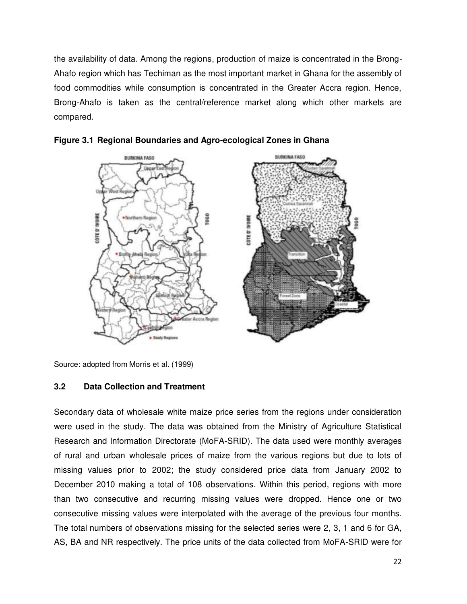the availability of data. Among the regions, production of maize is concentrated in the Brong-Ahafo region which has Techiman as the most important market in Ghana for the assembly of food commodities while consumption is concentrated in the Greater Accra region. Hence, Brong-Ahafo is taken as the central/reference market along which other markets are compared.



<span id="page-23-0"></span>**Figure 3.1 Regional Boundaries and Agro-ecological Zones in Ghana** 

Source: adopted from Morris et al. (1999)

# **3.2 Data Collection and Treatment**

Secondary data of wholesale white maize price series from the regions under consideration were used in the study. The data was obtained from the Ministry of Agriculture Statistical Research and Information Directorate (MoFA-SRID). The data used were monthly averages of rural and urban wholesale prices of maize from the various regions but due to lots of missing values prior to 2002; the study considered price data from January 2002 to December 2010 making a total of 108 observations. Within this period, regions with more than two consecutive and recurring missing values were dropped. Hence one or two consecutive missing values were interpolated with the average of the previous four months. The total numbers of observations missing for the selected series were 2, 3, 1 and 6 for GA, AS, BA and NR respectively. The price units of the data collected from MoFA-SRID were for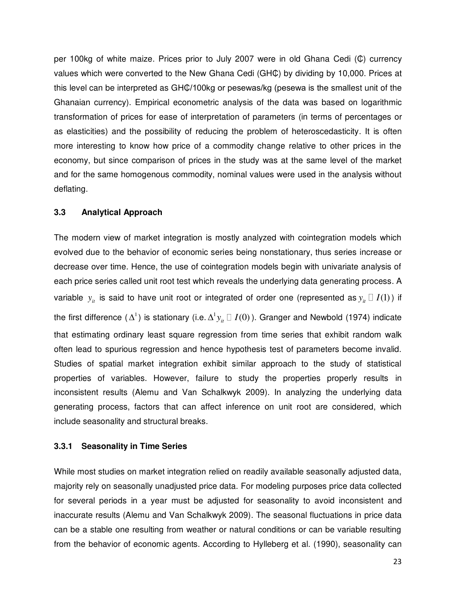per 100kg of white maize. Prices prior to July 2007 were in old Ghana Cedi (₵) currency values which were converted to the New Ghana Cedi (GHC) by dividing by 10,000. Prices at this level can be interpreted as GHQ/100kg or pesewas/kg (pesewa is the smallest unit of the Ghanaian currency). Empirical econometric analysis of the data was based on logarithmic transformation of prices for ease of interpretation of parameters (in terms of percentages or as elasticities) and the possibility of reducing the problem of heteroscedasticity. It is often more interesting to know how price of a commodity change relative to other prices in the economy, but since comparison of prices in the study was at the same level of the market and for the same homogenous commodity, nominal values were used in the analysis without deflating.

## **3.3 Analytical Approach**

The modern view of market integration is mostly analyzed with cointegration models which evolved due to the behavior of economic series being nonstationary, thus series increase or decrease over time. Hence, the use of cointegration models begin with univariate analysis of each price series called unit root test which reveals the underlying data generating process. A variable  $y_i$  is said to have unit root or integrated of order one (represented as  $y_i \square I(1)$ ) if the first difference  $(\Delta^1)$  is stationary (i.e.  $\Delta^1y_{\scriptscriptstyle \it i\it} \Box$   $I(0)$  ). Granger and Newbold (1974) indicate that estimating ordinary least square regression from time series that exhibit random walk often lead to spurious regression and hence hypothesis test of parameters become invalid. Studies of spatial market integration exhibit similar approach to the study of statistical properties of variables. However, failure to study the properties properly results in inconsistent results (Alemu and Van Schalkwyk 2009). In analyzing the underlying data generating process, factors that can affect inference on unit root are considered, which include seasonality and structural breaks.

# **3.3.1 Seasonality in Time Series**

While most studies on market integration relied on readily available seasonally adjusted data, majority rely on seasonally unadjusted price data. For modeling purposes price data collected for several periods in a year must be adjusted for seasonality to avoid inconsistent and inaccurate results (Alemu and Van Schalkwyk 2009). The seasonal fluctuations in price data can be a stable one resulting from weather or natural conditions or can be variable resulting from the behavior of economic agents. According to Hylleberg et al. (1990), seasonality can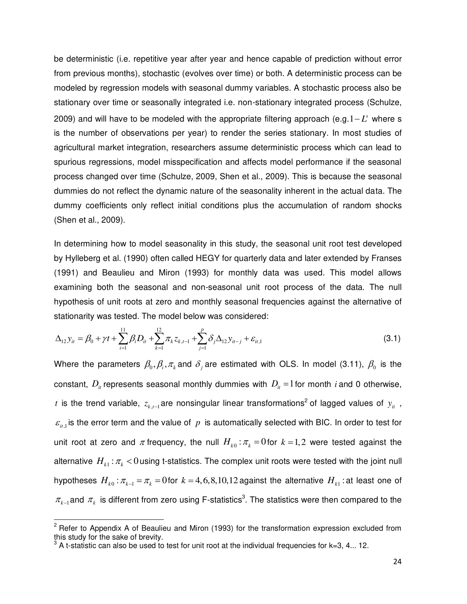be deterministic (i.e. repetitive year after year and hence capable of prediction without error from previous months), stochastic (evolves over time) or both. A deterministic process can be modeled by regression models with seasonal dummy variables. A stochastic process also be stationary over time or seasonally integrated i.e. non-stationary integrated process (Schulze, 2009) and will have to be modeled with the appropriate filtering approach (e.g.1 $-L^s$  where s is the number of observations per year) to render the series stationary. In most studies of agricultural market integration, researchers assume deterministic process which can lead to spurious regressions, model misspecification and affects model performance if the seasonal process changed over time (Schulze, 2009, Shen et al., 2009). This is because the seasonal dummies do not reflect the dynamic nature of the seasonality inherent in the actual data. The dummy coefficients only reflect initial conditions plus the accumulation of random shocks (Shen et al., 2009).

In determining how to model seasonality in this study, the seasonal unit root test developed by Hylleberg et al. (1990) often called HEGY for quarterly data and later extended by Franses (1991) and Beaulieu and Miron (1993) for monthly data was used. This model allows examining both the seasonal and non-seasonal unit root process of the data. The null hypothesis of unit roots at zero and monthly seasonal frequencies against the alternative of stationarity was tested. The model below was considered:

$$
\Delta_{12} y_{it} = \beta_0 + \gamma t + \sum_{i=1}^{11} \beta_i D_{it} + \sum_{k=1}^{12} \pi_k z_{k,t-1} + \sum_{j=1}^{p} \delta_j \Delta_{12} y_{it-j} + \varepsilon_{it,1}
$$
\n(3.1)

Where the parameters  $\beta_0, \beta_i, \pi_k$  and  $\delta_j$  are estimated with OLS. In model (3.11),  $\beta_0$  is the constant,  $D_{ii}$  represents seasonal monthly dummies with  $D_{ii} = 1$  for month *i* and 0 otherwise,  $t$  is the trend variable,  $z_{k,t-1}$ are nonsingular linear transformations<sup>2</sup> of lagged values of  $y_{it}$  ,  $\varepsilon_{i,j}$  is the error term and the value of p is automatically selected with BIC. In order to test for unit root at zero and  $\pi$  frequency, the null  $H_{k0}$ :  $\pi_k$  = 0 for  $k$  = 1,2 were tested against the alternative  $H_{k1}$ :  $\pi_k$  < 0 using t-statistics. The complex unit roots were tested with the joint null hypotheses  $H_{k0}$ :  $\pi_{k-1}$  =  $\pi_k$  = 0 for  $k$  = 4,6,8,10,12 against the alternative  $H_{k1}$ : at least one of  $\pi_{k-1}$ and  $\pi_k$  is different from zero using F-statistics<sup>3</sup>. The statistics were then compared to the

 $\overline{a}$ 

 $2$  Refer to Appendix A of Beaulieu and Miron (1993) for the transformation expression excluded from this study for the sake of brevity.

 $3$  A t-statistic can also be used to test for unit root at the individual frequencies for k=3, 4... 12.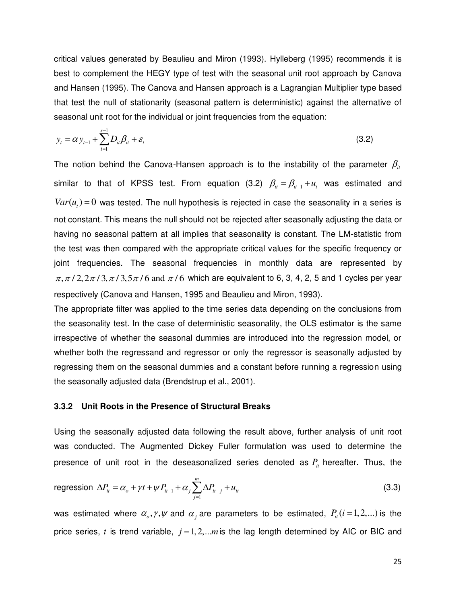critical values generated by Beaulieu and Miron (1993). Hylleberg (1995) recommends it is best to complement the HEGY type of test with the seasonal unit root approach by Canova and Hansen (1995). The Canova and Hansen approach is a Lagrangian Multiplier type based that test the null of stationarity (seasonal pattern is deterministic) against the alternative of seasonal unit root for the individual or joint frequencies from the equation:

$$
y_{t} = \alpha y_{t-1} + \sum_{i=1}^{s-1} D_{it} \beta_{it} + \varepsilon_{t}
$$
\n(3.2)

The notion behind the Canova-Hansen approach is to the instability of the parameter  $\beta_{it}$ similar to that of KPSS test. From equation (3.2)  $\beta_{it} = \beta_{it-1} + u_t$  was estimated and  $Var(u_i) = 0$  was tested. The null hypothesis is rejected in case the seasonality in a series is not constant. This means the null should not be rejected after seasonally adjusting the data or having no seasonal pattern at all implies that seasonality is constant. The LM-statistic from the test was then compared with the appropriate critical values for the specific frequency or joint frequencies. The seasonal frequencies in monthly data are represented by  $\pi$ ,  $\pi$  / 2,  $2\pi$  / 3,  $\pi$  / 3,  $5\pi$  / 6 and  $\pi$  / 6 which are equivalent to 6, 3, 4, 2, 5 and 1 cycles per year respectively (Canova and Hansen, 1995 and Beaulieu and Miron, 1993).

The appropriate filter was applied to the time series data depending on the conclusions from the seasonality test. In the case of deterministic seasonality, the OLS estimator is the same irrespective of whether the seasonal dummies are introduced into the regression model, or whether both the regressand and regressor or only the regressor is seasonally adjusted by regressing them on the seasonal dummies and a constant before running a regression using the seasonally adjusted data (Brendstrup et al., 2001).

#### **3.3.2 Unit Roots in the Presence of Structural Breaks**

Using the seasonally adjusted data following the result above, further analysis of unit root was conducted. The Augmented Dickey Fuller formulation was used to determine the presence of unit root in the deseasonalized series denoted as  $P_i$  hereafter. Thus, the

regression 
$$
\Delta P_{it} = \alpha_o + \gamma t + \psi P_{it-1} + \alpha_j \sum_{j=1}^{m} \Delta P_{it-j} + u_{it}
$$
 (3.3)

was estimated where  $\alpha_o, \gamma, \psi$  and  $\alpha_j$  are parameters to be estimated,  $P_{ii} (i = 1, 2,...)$  is the price series, *t* is trend variable,  $j = 1, 2, \ldots m$  is the lag length determined by AIC or BIC and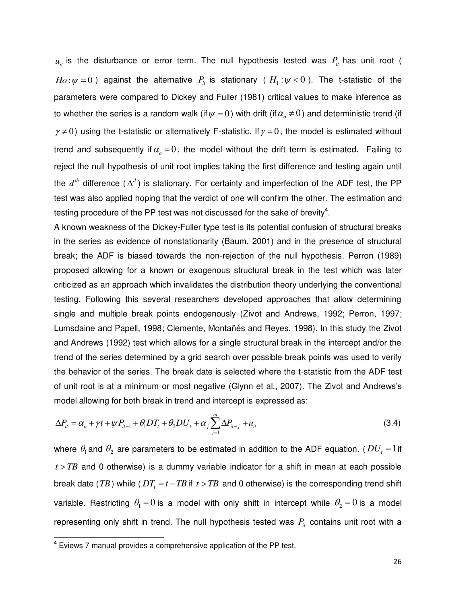$u_{ij}$  is the disturbance or error term. The null hypothesis tested was  $P_{ij}$  has unit root (  $Ho: \psi = 0$ ) against the alternative  $P_i$  is stationary ( $H_1: \psi < 0$ ). The t-statistic of the parameters were compared to Dickey and Fuller (1981) critical values to make inference as to whether the series is a random walk (if  $\psi = 0$ ) with drift (if  $\alpha_{\rho} \neq 0$ ) and deterministic trend (if  $\gamma \neq 0$ ) using the t-statistic or alternatively F-statistic. If  $\gamma = 0$ , the model is estimated without trend and subsequently if  $\alpha_{\rho} = 0$ , the model without the drift term is estimated. Failing to reject the null hypothesis of unit root implies taking the first difference and testing again until the  $d^{th}$  difference  $(\Delta^d)$  is stationary. For certainty and imperfection of the ADF test, the PP test was also applied hoping that the verdict of one will confirm the other. The estimation and testing procedure of the PP test was not discussed for the sake of brevity<sup>4</sup>.

A known weakness of the Dickey-Fuller type test is its potential confusion of structural breaks in the series as evidence of nonstationarity (Baum, 2001) and in the presence of structural break; the ADF is biased towards the non-rejection of the null hypothesis. Perron (1989) proposed allowing for a known or exogenous structural break in the test which was later criticized as an approach which invalidates the distribution theory underlying the conventional testing. Following this several researchers developed approaches that allow determining single and multiple break points endogenously (Zivot and Andrews, 1992; Perron, 1997; Lumsdaine and Papell, 1998; Clemente, Montañés and Reyes, 1998). In this study the Zivot and Andrews (1992) test which allows for a single structural break in the intercept and/or the trend of the series determined by a grid search over possible break points was used to verify the behavior of the series. The break date is selected where the t-statistic from the ADF test of unit root is at a minimum or most negative (Glynn et al., 2007). The Zivot and Andrews's model allowing for both break in trend and intercept is expressed as:

$$
\Delta P_{it} = \alpha_o + \gamma t + \psi P_{it-1} + \theta_1 DT_t + \theta_2 DU_t + \alpha_j \sum_{j=1}^m \Delta P_{it-j} + u_{it}
$$
\n(3.4)

where  $\theta_{\rm l}$  and  $\theta_{\rm 2}$  are parameters to be estimated in addition to the ADF equation. ( $DU_{_I}$  = 1 if  $t$   $\geq$  *TB* and 0 otherwise) is a dummy variable indicator for a shift in mean at each possible break date (*TB*) while ( $DT_t = t - TB$  if  $t > TB$  and 0 otherwise) is the corresponding trend shift variable. Restricting  $\theta_1 = 0$  is a model with only shift in intercept while  $\theta_2 = 0$  is a model representing only shift in trend. The null hypothesis tested was  $P_i$  contains unit root with a

ı

<sup>&</sup>lt;sup>4</sup> Eviews 7 manual provides a comprehensive application of the PP test.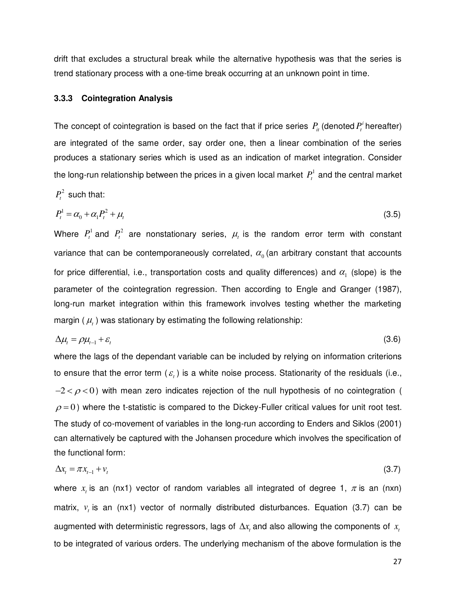drift that excludes a structural break while the alternative hypothesis was that the series is trend stationary process with a one-time break occurring at an unknown point in time.

#### **3.3.3 Cointegration Analysis**

The concept of cointegration is based on the fact that if price series  $P_i$  (denoted  $P_i^i$  hereafter) are integrated of the same order, say order one, then a linear combination of the series produces a stationary series which is used as an indication of market integration. Consider the long-run relationship between the prices in a given local market  $P_t^1$  and the central market

 $P_t^2$  such that:

$$
P_t^1 = \alpha_0 + \alpha_1 P_t^2 + \mu_t \tag{3.5}
$$

Where  $P_t^1$  and  $P_t^2$  are nonstationary series,  $\mu_t$  is the random error term with constant variance that can be contemporaneously correlated,  $\alpha_{0}$  (an arbitrary constant that accounts for price differential, i.e., transportation costs and quality differences) and  $\alpha_{_1}$  (slope) is the parameter of the cointegration regression. Then according to Engle and Granger (1987), long-run market integration within this framework involves testing whether the marketing margin ( $\mu$ <sub>t</sub>) was stationary by estimating the following relationship:

$$
\Delta \mu_t = \rho \mu_{t-1} + \varepsilon_t \tag{3.6}
$$

where the lags of the dependant variable can be included by relying on information criterions to ensure that the error term ( $\varepsilon_{_I}$ ) is a white noise process. Stationarity of the residuals (i.e.,  $-2 < \rho < 0$ ) with mean zero indicates rejection of the null hypothesis of no cointegration (  $\rho = 0$ ) where the t-statistic is compared to the Dickey-Fuller critical values for unit root test. The study of co-movement of variables in the long-run according to Enders and Siklos (2001) can alternatively be captured with the Johansen procedure which involves the specification of the functional form:

$$
\Delta x_t = \pi x_{t-1} + v_t \tag{3.7}
$$

where  $x_i$  is an (nx1) vector of random variables all integrated of degree 1,  $\pi$  is an (nxn) matrix,  $v<sub>t</sub>$  is an (nx1) vector of normally distributed disturbances. Equation (3.7) can be augmented with deterministic regressors, lags of  $\Delta x$ , and also allowing the components of  $x$ to be integrated of various orders. The underlying mechanism of the above formulation is the

27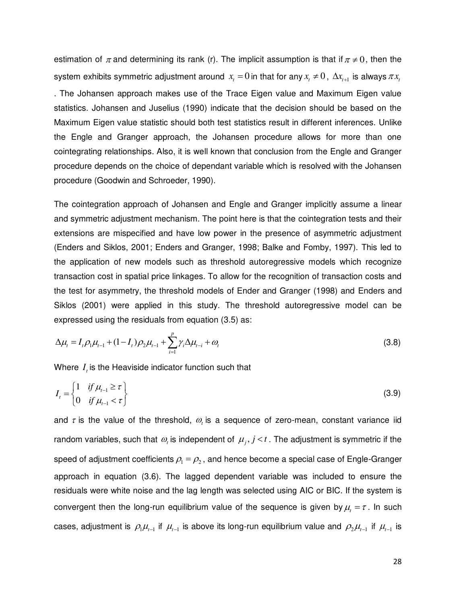estimation of  $\pi$  and determining its rank (r). The implicit assumption is that if  $\pi \neq 0$ , then the system exhibits symmetric adjustment around  $x_{\iota}=0$  in that for any  $x_{\iota}\neq 0$  ,  $\Delta x_{\iota+1}$  is always  $\pi x_{\iota}$ . The Johansen approach makes use of the Trace Eigen value and Maximum Eigen value statistics. Johansen and Juselius (1990) indicate that the decision should be based on the Maximum Eigen value statistic should both test statistics result in different inferences. Unlike the Engle and Granger approach, the Johansen procedure allows for more than one cointegrating relationships. Also, it is well known that conclusion from the Engle and Granger procedure depends on the choice of dependant variable which is resolved with the Johansen procedure (Goodwin and Schroeder, 1990).

The cointegration approach of Johansen and Engle and Granger implicitly assume a linear and symmetric adjustment mechanism. The point here is that the cointegration tests and their extensions are mispecified and have low power in the presence of asymmetric adjustment (Enders and Siklos, 2001; Enders and Granger, 1998; Balke and Fomby, 1997). This led to the application of new models such as threshold autoregressive models which recognize transaction cost in spatial price linkages. To allow for the recognition of transaction costs and the test for asymmetry, the threshold models of Ender and Granger (1998) and Enders and Siklos (2001) were applied in this study. The threshold autoregressive model can be expressed using the residuals from equation (3.5) as:

$$
\Delta \mu_{t} = I_{t} \rho_{1} \mu_{t-1} + (1 - I_{t}) \rho_{2} \mu_{t-1} + \sum_{i=1}^{p} \gamma_{i} \Delta \mu_{t-i} + \omega_{t}
$$
\n(3.8)

Where *<sup>t</sup> I* is the Heaviside indicator function such that

$$
I_{t} = \begin{cases} 1 & \text{if } \mu_{t-1} \geq \tau \\ 0 & \text{if } \mu_{t-1} < \tau \end{cases}
$$
\n
$$
(3.9)
$$

and  $\tau$  is the value of the threshold,  $\omega_t$  is a sequence of zero-mean, constant variance iid random variables, such that  $\omega_i$  is independent of  $\mu_j, j < t$  . The adjustment is symmetric if the speed of adjustment coefficients  $\rho_1 = \rho_2$ , and hence become a special case of Engle-Granger approach in equation (3.6). The lagged dependent variable was included to ensure the residuals were white noise and the lag length was selected using AIC or BIC. If the system is convergent then the long-run equilibrium value of the sequence is given by  $\mu_t = \tau$ . In such cases, adjustment is  $\rho_1\mu_{t-1}$  if  $\mu_{t-1}$  is above its long-run equilibrium value and  $\rho_2\mu_{t-1}$  if  $\mu_{t-1}$  is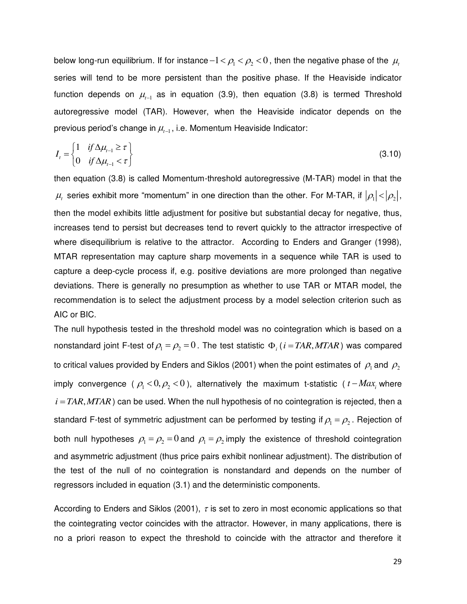below long-run equilibrium. If for instance  $-1 < \rho_1 < \rho_2 < 0$ , then the negative phase of the  $\mu_t$ series will tend to be more persistent than the positive phase. If the Heaviside indicator function depends on  $\mu_{t-1}$  as in equation (3.9), then equation (3.8) is termed Threshold autoregressive model (TAR). However, when the Heaviside indicator depends on the previous period's change in  $\mu_{t-1}$ , i.e. Momentum Heaviside Indicator:

$$
I_{t} = \begin{cases} 1 & \text{if } \Delta \mu_{t-1} \geq \tau \\ 0 & \text{if } \Delta \mu_{t-1} < \tau \end{cases}
$$
\n
$$
(3.10)
$$

then equation (3.8) is called Momentum-threshold autoregressive (M-TAR) model in that the  $\mu_{_t}$  series exhibit more "momentum" in one direction than the other. For M-TAR, if  $|\rho_{\text{\tiny{l}}}|\!<\!\!|\rho_{\text{\tiny{2}}}|\!,$ then the model exhibits little adjustment for positive but substantial decay for negative, thus, increases tend to persist but decreases tend to revert quickly to the attractor irrespective of where disequilibrium is relative to the attractor. According to Enders and Granger (1998), MTAR representation may capture sharp movements in a sequence while TAR is used to capture a deep-cycle process if, e.g. positive deviations are more prolonged than negative deviations. There is generally no presumption as whether to use TAR or MTAR model, the recommendation is to select the adjustment process by a model selection criterion such as AIC or BIC.

The null hypothesis tested in the threshold model was no cointegration which is based on a nonstandard joint F-test of  $\rho_1 = \rho_2 = 0$ . The test statistic  $\Phi_i$  (*i* = TAR, MTAR) was compared to critical values provided by Enders and Siklos (2001) when the point estimates of  $\rho_1$  and  $\rho_2$ imply convergence ( $\rho_1 < 0, \rho_2 < 0$ ), alternatively the maximum t-statistic (*t* -  $Max_i$  where  $i = TAR$ ,  $MTAR$  can be used. When the null hypothesis of no cointegration is rejected, then a standard F-test of symmetric adjustment can be performed by testing if  $\rho_1 = \rho_2$ . Rejection of both null hypotheses  $\rho_1 = \rho_2 = 0$  and  $\rho_1 = \rho_2$  imply the existence of threshold cointegration and asymmetric adjustment (thus price pairs exhibit nonlinear adjustment). The distribution of the test of the null of no cointegration is nonstandard and depends on the number of regressors included in equation (3.1) and the deterministic components.

According to Enders and Siklos (2001),  $\tau$  is set to zero in most economic applications so that the cointegrating vector coincides with the attractor. However, in many applications, there is no a priori reason to expect the threshold to coincide with the attractor and therefore it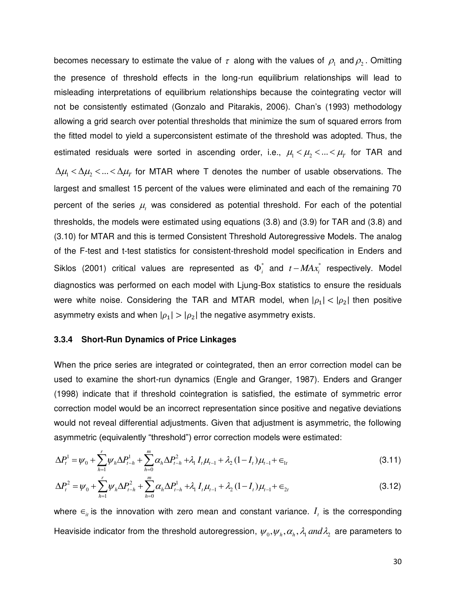becomes necessary to estimate the value of  $\tau$  along with the values of  $\rho_1$  and  $\rho_2$ . Omitting the presence of threshold effects in the long-run equilibrium relationships will lead to misleading interpretations of equilibrium relationships because the cointegrating vector will not be consistently estimated (Gonzalo and Pitarakis, 2006). Chan's (1993) methodology allowing a grid search over potential thresholds that minimize the sum of squared errors from the fitted model to yield a superconsistent estimate of the threshold was adopted. Thus, the estimated residuals were sorted in ascending order, i.e.,  $\mu_1 < \mu_2 < ... < \mu_r$  for TAR and  $\Delta \mu_{\text{\tiny I}} < \Delta \mu_{\text{\tiny Z}} < ... < \Delta \mu_{\text{\tiny T}}$  for MTAR where T denotes the number of usable observations. The largest and smallest 15 percent of the values were eliminated and each of the remaining 70 percent of the series  $\mu$ , was considered as potential threshold. For each of the potential thresholds, the models were estimated using equations (3.8) and (3.9) for TAR and (3.8) and (3.10) for MTAR and this is termed Consistent Threshold Autoregressive Models. The analog of the F-test and t-test statistics for consistent-threshold model specification in Enders and Siklos (2001) critical values are represented as  $\Phi_i^*$  and  $t - MAX_i^*$  respectively. Model diagnostics was performed on each model with Ljung-Box statistics to ensure the residuals were white noise. Considering the TAR and MTAR model, when  $|\rho_1| < |\rho_2|$  then positive asymmetry exists and when  $|\rho_1| > |\rho_2|$  the negative asymmetry exists.

#### **3.3.4 Short-Run Dynamics of Price Linkages**

When the price series are integrated or cointegrated, then an error correction model can be used to examine the short-run dynamics (Engle and Granger, 1987). Enders and Granger (1998) indicate that if threshold cointegration is satisfied, the estimate of symmetric error correction model would be an incorrect representation since positive and negative deviations would not reveal differential adjustments. Given that adjustment is asymmetric, the following asymmetric (equivalently "threshold") error correction models were estimated:

$$
\Delta P_t^1 = \psi_0 + \sum_{h=1}^r \psi_h \Delta P_{t-h}^1 + \sum_{h=0}^m \alpha_h \Delta P_{t-h}^2 + \lambda_1 I_t \mu_{t-1} + \lambda_2 (1 - I_t) \mu_{t-1} + \epsilon_{1t}
$$
(3.11)

$$
\Delta P_t^2 = \psi_0 + \sum_{h=1}^r \psi_h \Delta P_{t-h}^2 + \sum_{h=0}^m \alpha_h \Delta P_{t-h}^1 + \lambda_1 I_t \mu_{t-1} + \lambda_2 (1 - I_t) \mu_{t-1} + \epsilon_{2t}
$$
(3.12)

where  $\in$ <sub>*ii*</sub> is the innovation with zero mean and constant variance.  $I$ <sub>*i*</sub> is the corresponding Heaviside indicator from the threshold autoregression,  $\psi_0$ ,  $\psi_h$ ,  $\alpha_h$ ,  $\lambda_1$  *and*  $\lambda_2$  are parameters to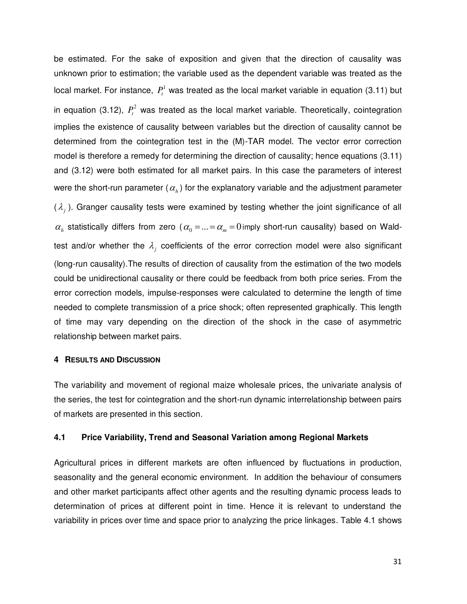be estimated. For the sake of exposition and given that the direction of causality was unknown prior to estimation; the variable used as the dependent variable was treated as the local market. For instance,  $P_t^1$  was treated as the local market variable in equation (3.11) but in equation (3.12),  $P_t^2$  was treated as the local market variable. Theoretically, cointegration implies the existence of causality between variables but the direction of causality cannot be determined from the cointegration test in the (M)-TAR model. The vector error correction model is therefore a remedy for determining the direction of causality; hence equations (3.11) and (3.12) were both estimated for all market pairs. In this case the parameters of interest were the short-run parameter ( $\alpha_{_h}$ ) for the explanatory variable and the adjustment parameter  $(\lambda_j)$ . Granger causality tests were examined by testing whether the joint significance of all  $\alpha$ <sub>h</sub> statistically differs from zero ( $\alpha$ <sub>0</sub> = ... =  $\alpha$ <sub>m</sub> = 0 imply short-run causality) based on Waldtest and/or whether the  $\lambda_j$  coefficients of the error correction model were also significant (long-run causality).The results of direction of causality from the estimation of the two models could be unidirectional causality or there could be feedback from both price series. From the error correction models, impulse-responses were calculated to determine the length of time needed to complete transmission of a price shock; often represented graphically. This length of time may vary depending on the direction of the shock in the case of asymmetric relationship between market pairs.

#### **4 RESULTS AND DISCUSSION**

The variability and movement of regional maize wholesale prices, the univariate analysis of the series, the test for cointegration and the short-run dynamic interrelationship between pairs of markets are presented in this section.

#### **4.1 Price Variability, Trend and Seasonal Variation among Regional Markets**

Agricultural prices in different markets are often influenced by fluctuations in production, seasonality and the general economic environment. In addition the behaviour of consumers and other market participants affect other agents and the resulting dynamic process leads to determination of prices at different point in time. Hence it is relevant to understand the variability in prices over time and space prior to analyzing the price linkages. [Table 4.1](#page-33-0) shows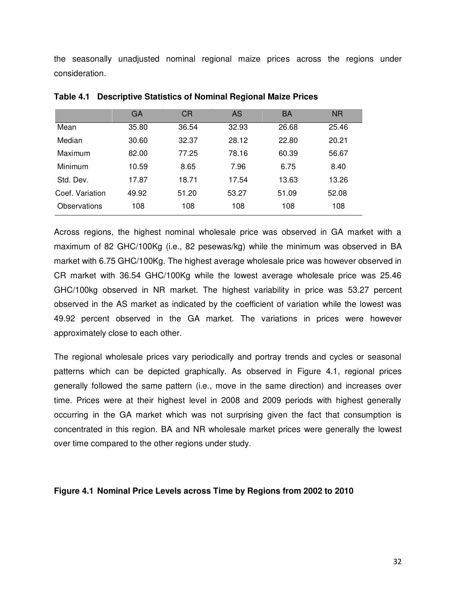the seasonally unadjusted nominal regional maize prices across the regions under consideration.

|                 | GA    | CR    | AS    | <b>BA</b> | <b>NR</b> |
|-----------------|-------|-------|-------|-----------|-----------|
| Mean            | 35.80 | 36.54 | 32.93 | 26.68     | 25.46     |
| Median          | 30.60 | 32.37 | 28.12 | 22.80     | 20.21     |
| Maximum         | 82.00 | 77.25 | 78.16 | 60.39     | 56.67     |
| Minimum         | 10.59 | 8.65  | 7.96  | 6.75      | 8.40      |
| Std. Dev.       | 17.87 | 18.71 | 17.54 | 13.63     | 13.26     |
| Coef. Variation | 49.92 | 51.20 | 53.27 | 51.09     | 52.08     |
| Observations    | 108   | 108   | 108   | 108       | 108       |

<span id="page-33-0"></span>**Table 4.1 Descriptive Statistics of Nominal Regional Maize Prices** 

Across regions, the highest nominal wholesale price was observed in GA market with a maximum of 82 GHC/100Kg (i.e., 82 pesewas/kg) while the minimum was observed in BA market with 6.75 GHC/100Kg. The highest average wholesale price was however observed in CR market with 36.54 GHC/100Kg while the lowest average wholesale price was 25.46 GHC/100kg observed in NR market. The highest variability in price was 53.27 percent observed in the AS market as indicated by the coefficient of variation while the lowest was 49.92 percent observed in the GA market. The variations in prices were however approximately close to each other.

The regional wholesale prices vary periodically and portray trends and cycles or seasonal patterns which can be depicted graphically. As observed in [Figure 4.1,](#page-33-1) regional prices generally followed the same pattern (i.e., move in the same direction) and increases over time. Prices were at their highest level in 2008 and 2009 periods with highest generally occurring in the GA market which was not surprising given the fact that consumption is concentrated in this region. BA and NR wholesale market prices were generally the lowest over time compared to the other regions under study.

#### <span id="page-33-1"></span>**Figure 4.1 Nominal Price Levels across Time by Regions from 2002 to 2010**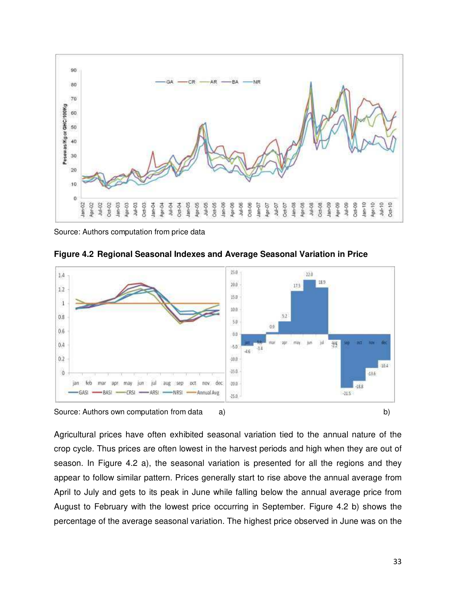

Source: Authors computation from price data

<span id="page-34-0"></span>



Agricultural prices have often exhibited seasonal variation tied to the annual nature of the crop cycle. Thus prices are often lowest in the harvest periods and high when they are out of season. In [Figure 4.2](#page-34-0) a), the seasonal variation is presented for all the regions and they appear to follow similar pattern. Prices generally start to rise above the annual average from April to July and gets to its peak in June while falling below the annual average price from August to February with the lowest price occurring in September. [Figure 4.2](#page-34-0) b) shows the percentage of the average seasonal variation. The highest price observed in June was on the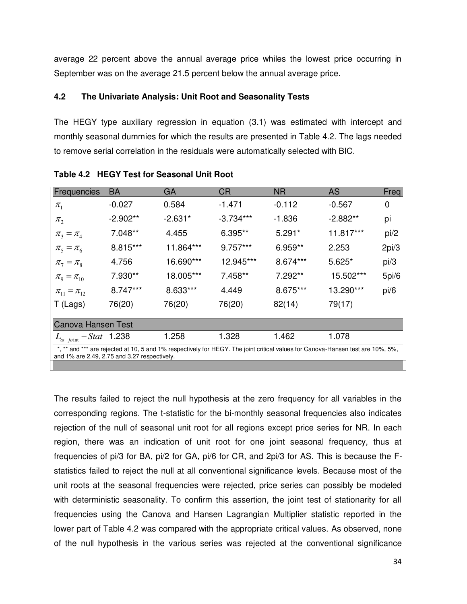average 22 percent above the annual average price whiles the lowest price occurring in September was on the average 21.5 percent below the annual average price.

## **4.2 The Univariate Analysis: Unit Root and Seasonality Tests**

The HEGY type auxiliary regression in equation (3.1) was estimated with intercept and monthly seasonal dummies for which the results are presented in [Table 4.2.](#page-35-0) The lags needed to remove serial correlation in the residuals were automatically selected with BIC.

| Frequencies                     | <b>BA</b>                                                                                                                                                                       | GA        | <b>CR</b>   | <b>NR</b> | <b>AS</b>  | Freq  |
|---------------------------------|---------------------------------------------------------------------------------------------------------------------------------------------------------------------------------|-----------|-------------|-----------|------------|-------|
| $\pi_{1}$                       | $-0.027$                                                                                                                                                                        | 0.584     | $-1.471$    | $-0.112$  | $-0.567$   | 0     |
| $\pi$ <sub>2</sub>              | $-2.902**$                                                                                                                                                                      | $-2.631*$ | $-3.734***$ | -1.836    | $-2.882**$ | pi    |
| $\pi_3 = \pi_4$                 | $7.048**$                                                                                                                                                                       | 4.455     | 6.395**     | $5.291*$  | 11.817***  | pi/2  |
| $\pi_{5}=\pi_{6}$               | 8.815***                                                                                                                                                                        | 11.864*** | $9.757***$  | 6.959**   | 2.253      | 2pi/3 |
| $\pi_7 = \pi_8$                 | 4.756                                                                                                                                                                           | 16.690*** | 12.945***   | 8.674***  | $5.625*$   | pi/3  |
| $\pi_{9} = \pi_{10}$            | 7.930**                                                                                                                                                                         | 18.005*** | 7.458**     | 7.292**   | 15.502***  | 5pi/6 |
| $\pi_{11} = \pi_{12}$           | $8.747***$                                                                                                                                                                      | 8.633***  | 4.449       | 8.675***  | 13.290***  | pi/6  |
| T (Lags)                        | 76(20)                                                                                                                                                                          | 76(20)    | 76(20)      | 82(14)    | 79(17)     |       |
| <b>Canova Hansen Test</b>       |                                                                                                                                                                                 |           |             |           |            |       |
| $L_{\varpi-joint}$ - Stat 1.238 |                                                                                                                                                                                 | 1.258     | 1.328       | 1.462     | 1.078      |       |
|                                 | *, ** and *** are rejected at 10, 5 and 1% respectively for HEGY. The joint critical values for Canova-Hansen test are 10%, 5%,<br>and 1% are 2.49, 2.75 and 3.27 respectively. |           |             |           |            |       |
|                                 |                                                                                                                                                                                 |           |             |           |            |       |

<span id="page-35-0"></span>**Table 4.2 HEGY Test for Seasonal Unit Root** 

The results failed to reject the null hypothesis at the zero frequency for all variables in the corresponding regions. The t-statistic for the bi-monthly seasonal frequencies also indicates rejection of the null of seasonal unit root for all regions except price series for NR. In each region, there was an indication of unit root for one joint seasonal frequency, thus at frequencies of pi/3 for BA, pi/2 for GA, pi/6 for CR, and 2pi/3 for AS. This is because the Fstatistics failed to reject the null at all conventional significance levels. Because most of the unit roots at the seasonal frequencies were rejected, price series can possibly be modeled with deterministic seasonality. To confirm this assertion, the joint test of stationarity for all frequencies using the Canova and Hansen Lagrangian Multiplier statistic reported in the lower part of [Table 4.2](#page-35-0) was compared with the appropriate critical values. As observed, none of the null hypothesis in the various series was rejected at the conventional significance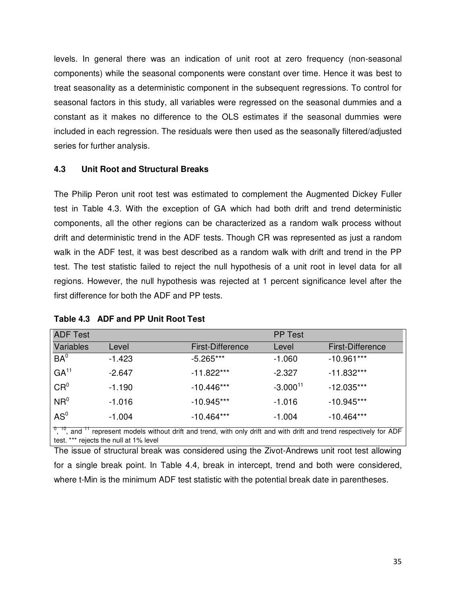levels. In general there was an indication of unit root at zero frequency (non-seasonal components) while the seasonal components were constant over time. Hence it was best to treat seasonality as a deterministic component in the subsequent regressions. To control for seasonal factors in this study, all variables were regressed on the seasonal dummies and a constant as it makes no difference to the OLS estimates if the seasonal dummies were included in each regression. The residuals were then used as the seasonally filtered/adjusted series for further analysis.

# **4.3 Unit Root and Structural Breaks**

The Philip Peron unit root test was estimated to complement the Augmented Dickey Fuller test in [Table 4.3.](#page-36-0) With the exception of GA which had both drift and trend deterministic components, all the other regions can be characterized as a random walk process without drift and deterministic trend in the ADF tests. Though CR was represented as just a random walk in the ADF test, it was best described as a random walk with drift and trend in the PP test. The test statistic failed to reject the null hypothesis of a unit root in level data for all regions. However, the null hypothesis was rejected at 1 percent significance level after the first difference for both the ADF and PP tests.

| <b>ADF Test</b>  |          |                  | <b>PP Test</b> |                         |
|------------------|----------|------------------|----------------|-------------------------|
| Variables        | Level    | First-Difference | Level          | <b>First-Difference</b> |
| $BA^0$           | $-1.423$ | $-5.265***$      | $-1.060$       | $-10.961***$            |
| GA <sup>11</sup> | $-2.647$ | $-11.822***$     | $-2.327$       | $-11.832***$            |
| CR <sup>0</sup>  | $-1.190$ | $-10.446***$     | $-3.000^{11}$  | $-12.035***$            |
| NR <sup>0</sup>  | $-1.016$ | $-10.945***$     | $-1.016$       | $-10.945***$            |
| $AS^0$           | $-1.004$ | $-10.464***$     | $-1.004$       | $-10.464***$            |

#### <span id="page-36-0"></span>**Table 4.3 ADF and PP Unit Root Test**

0 ,  $\frac{0}{10}$ , and  $\frac{11}{11}$  represent models without drift and trend, with only drift and with drift and trend respectively for ADF test. \*\*\* rejects the null at 1% level

The issue of structural break was considered using the Zivot-Andrews unit root test allowing for a single break point. In [Table 4.4,](#page-37-0) break in intercept, trend and both were considered, where t-Min is the minimum ADF test statistic with the potential break date in parentheses.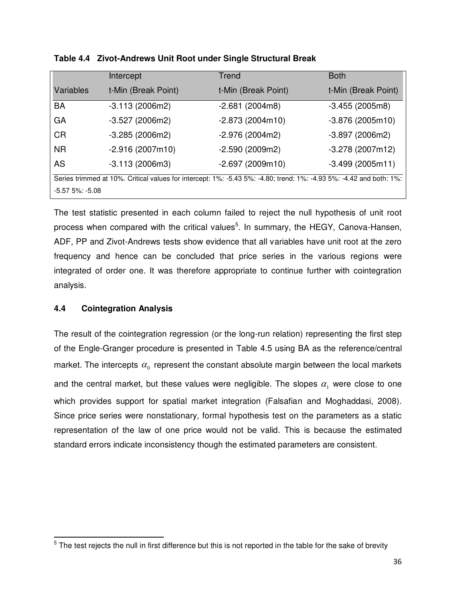|                                                                                                                     | Intercept           | Trend               | <b>Both</b>         |  |  |
|---------------------------------------------------------------------------------------------------------------------|---------------------|---------------------|---------------------|--|--|
| Variables                                                                                                           | t-Min (Break Point) | t-Min (Break Point) | t-Min (Break Point) |  |  |
| <b>BA</b>                                                                                                           | $-3.113(2006m2)$    | $-2.681(2004m8)$    | $-3.455(2005m8)$    |  |  |
| GA                                                                                                                  | $-3.527(2006m2)$    | $-2.873(2004m10)$   | $-3.876(2005m10)$   |  |  |
| <b>CR</b>                                                                                                           | $-3.285(2006m2)$    | $-2.976(2004m2)$    | $-3.897(2006m2)$    |  |  |
| <b>NR</b>                                                                                                           | $-2.916(2007m10)$   | $-2.590(2009m2)$    | $-3.278(2007m12)$   |  |  |
| AS                                                                                                                  | $-3.113(2006m3)$    | $-2.697(2009m10)$   | $-3.499(2005m11)$   |  |  |
| Series trimmed at 10%. Critical values for intercept: 1%: -5.43 5%: -4.80; trend: 1%: -4.93 5%: -4.42 and both: 1%: |                     |                     |                     |  |  |
| $-5.575%$ : $-5.08$                                                                                                 |                     |                     |                     |  |  |

<span id="page-37-0"></span>**Table 4.4 Zivot-Andrews Unit Root under Single Structural Break** 

The test statistic presented in each column failed to reject the null hypothesis of unit root process when compared with the critical values<sup>5</sup>. In summary, the HEGY, Canova-Hansen, ADF, PP and Zivot-Andrews tests show evidence that all variables have unit root at the zero frequency and hence can be concluded that price series in the various regions were integrated of order one. It was therefore appropriate to continue further with cointegration analysis.

# **4.4 Cointegration Analysis**

ı

The result of the cointegration regression (or the long-run relation) representing the first step of the Engle-Granger procedure is presented in [Table 4.5](#page-38-0) using BA as the reference/central market. The intercepts  $\alpha_{0}$  represent the constant absolute margin between the local markets and the central market, but these values were negligible. The slopes  $\alpha_{\text{\tiny I}}$  were close to one which provides support for spatial market integration (Falsafian and Moghaddasi, 2008). Since price series were nonstationary, formal hypothesis test on the parameters as a static representation of the law of one price would not be valid. This is because the estimated standard errors indicate inconsistency though the estimated parameters are consistent.

 $5$  The test rejects the null in first difference but this is not reported in the table for the sake of brevity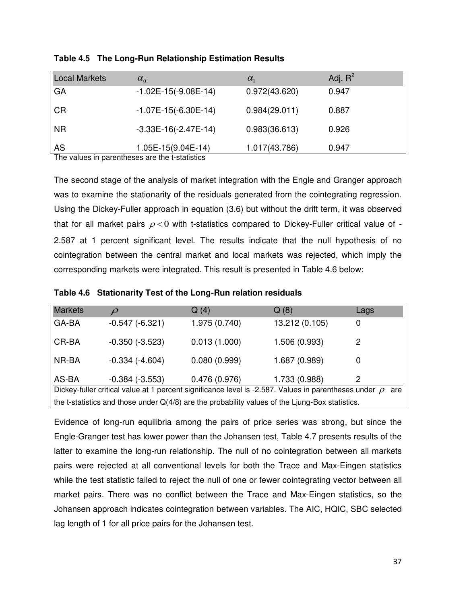| <b>Local Markets</b>                                  | $\alpha_{0}$               | $\alpha_{1}$  | Adj. $R^2$ |
|-------------------------------------------------------|----------------------------|---------------|------------|
| GA                                                    | $-1.02E - 15(-9.08E - 14)$ | 0.972(43.620) | 0.947      |
| <b>CR</b>                                             | $-1.07E - 15(-6.30E - 14)$ | 0.984(29.011) | 0.887      |
| <b>NR</b>                                             | $-3.33E - 16(-2.47E - 14)$ | 0.983(36.613) | 0.926      |
| AS<br>The velues in nerestheses are the t-statistics. | 1.05E-15(9.04E-14)         | 1.017(43.786) | 0.947      |

<span id="page-38-0"></span>**Table 4.5 The Long-Run Relationship Estimation Results** 

The values in parentheses are the t-statistics

The second stage of the analysis of market integration with the Engle and Granger approach was to examine the stationarity of the residuals generated from the cointegrating regression. Using the Dickey-Fuller approach in equation (3.6) but without the drift term, it was observed that for all market pairs  $\rho < 0$  with t-statistics compared to Dickey-Fuller critical value of -2.587 at 1 percent significant level. The results indicate that the null hypothesis of no cointegration between the central market and local markets was rejected, which imply the corresponding markets were integrated. This result is presented in [Table 4.6](#page-38-1) below:

| <b>Markets</b> | $\Omega$         | Q(4)                                                                                                       | Q(8)           | Lags |
|----------------|------------------|------------------------------------------------------------------------------------------------------------|----------------|------|
| GA-BA          | $-0.547(-6.321)$ | 1.975 (0.740)                                                                                              | 13.212 (0.105) |      |
| CR-BA          | $-0.350(-3.523)$ | 0.013(1.000)                                                                                               | 1.506 (0.993)  |      |
| NR-BA          | $-0.334(-4.604)$ | 0.080(0.999)                                                                                               | 1.687 (0.989)  |      |
| AS-BA          | $-0.384(-3.553)$ | 0.476(0.976)                                                                                               | 1.733 (0.988)  | 2    |
|                |                  | Dickey-fuller critical value at 1 percent significance level is -2.587. Values in parentheses under $\rho$ |                | are  |

the t-statistics and those under Q(4/8) are the probability values of the Ljung-Box statistics.

<span id="page-38-1"></span>**Table 4.6 Stationarity Test of the Long-Run relation residuals** 

Evidence of long-run equilibria among the pairs of price series was strong, but since the Engle-Granger test has lower power than the Johansen test, [Table 4.7](#page-39-0) presents results of the latter to examine the long-run relationship. The null of no cointegration between all markets pairs were rejected at all conventional levels for both the Trace and Max-Eingen statistics while the test statistic failed to reject the null of one or fewer cointegrating vector between all market pairs. There was no conflict between the Trace and Max-Eingen statistics, so the Johansen approach indicates cointegration between variables. The AIC, HQIC, SBC selected lag length of 1 for all price pairs for the Johansen test.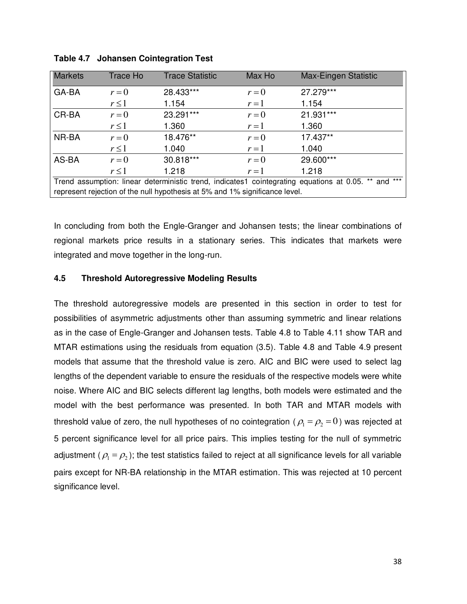| <b>Markets</b>                                                                                       | Trace Ho   | <b>Trace Statistic</b>                                                      | Max Ho | <b>Max-Eingen Statistic</b> |  |
|------------------------------------------------------------------------------------------------------|------------|-----------------------------------------------------------------------------|--------|-----------------------------|--|
| GA-BA                                                                                                | $r=0$      | 28.433***                                                                   | $r=0$  | 27.279***                   |  |
|                                                                                                      | $r \leq 1$ | 1.154                                                                       | $r=1$  | 1.154                       |  |
| CR-BA                                                                                                | $r=0$      | 23.291***                                                                   | $r=0$  | 21.931***                   |  |
|                                                                                                      | $r \leq 1$ | 1.360                                                                       | $r=1$  | 1.360                       |  |
| NR-BA                                                                                                | $r=0$      | 18.476**                                                                    | $r=0$  | 17.437**                    |  |
|                                                                                                      | $r \leq 1$ | 1.040                                                                       | $r=1$  | 1.040                       |  |
| AS-BA                                                                                                | $r=0$      | 30.818***                                                                   | $r=0$  | 29.600***                   |  |
|                                                                                                      | $r \leq 1$ | 1.218                                                                       | $r=1$  | 1.218                       |  |
| Trend assumption: linear deterministic trend, indicates1 cointegrating equations at 0.05. ** and *** |            |                                                                             |        |                             |  |
|                                                                                                      |            | represent rejection of the null hypothesis at 5% and 1% significance level. |        |                             |  |

<span id="page-39-0"></span>**Table 4.7 Johansen Cointegration Test** 

In concluding from both the Engle-Granger and Johansen tests; the linear combinations of regional markets price results in a stationary series. This indicates that markets were integrated and move together in the long-run.

## **4.5 Threshold Autoregressive Modeling Results**

The threshold autoregressive models are presented in this section in order to test for possibilities of asymmetric adjustments other than assuming symmetric and linear relations as in the case of Engle-Granger and Johansen tests. [Table 4.8](#page-40-0) to [Table 4.11](#page-42-0) show TAR and MTAR estimations using the residuals from equation (3.5). [Table 4.8](#page-40-0) and [Table 4.9](#page-40-1) present models that assume that the threshold value is zero. AIC and BIC were used to select lag lengths of the dependent variable to ensure the residuals of the respective models were white noise. Where AIC and BIC selects different lag lengths, both models were estimated and the model with the best performance was presented. In both TAR and MTAR models with threshold value of zero, the null hypotheses of no cointegration ( $\rho_1 = \rho_2 = 0$ ) was rejected at 5 percent significance level for all price pairs. This implies testing for the null of symmetric adjustment ( $\rho_1 = \rho_2$ ); the test statistics failed to reject at all significance levels for all variable pairs except for NR-BA relationship in the MTAR estimation. This was rejected at 10 percent significance level.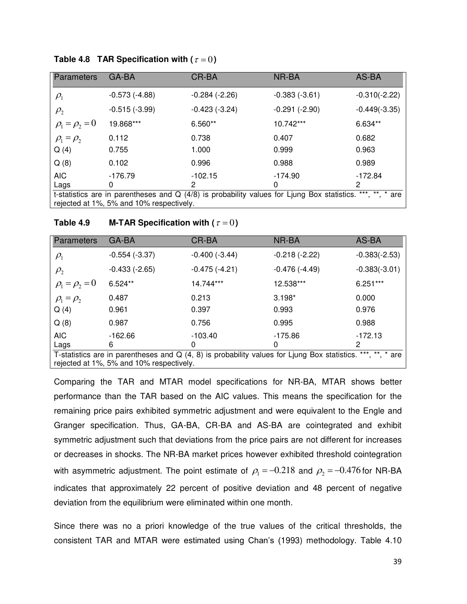| Parameters                                                                                                                                                   | GA-BA           | CR-BA              | NR-BA           | AS-BA           |  |
|--------------------------------------------------------------------------------------------------------------------------------------------------------------|-----------------|--------------------|-----------------|-----------------|--|
| $\rho_{\scriptscriptstyle 1}$                                                                                                                                | $-0.573(-4.88)$ | $-0.284$ $(-2.26)$ | $-0.383(-3.61)$ | $-0.310(-2.22)$ |  |
| $\rho_{\scriptscriptstyle 2}$                                                                                                                                | $-0.515(-3.99)$ | $-0.423(-3.24)$    | $-0.291(-2.90)$ | $-0.449(-3.35)$ |  |
| $\rho_1 = \rho_2 = 0$                                                                                                                                        | 19.868***       | 6.560**            | 10.742***       | 6.634**         |  |
| $\rho_1 = \rho_2$                                                                                                                                            | 0.112           | 0.738              | 0.407           | 0.682           |  |
| Q(4)                                                                                                                                                         | 0.755           | 1.000              | 0.999           | 0.963           |  |
| Q(8)                                                                                                                                                         | 0.102           | 0.996              | 0.988           | 0.989           |  |
| <b>AIC</b>                                                                                                                                                   | $-176.79$       | $-102.15$          | $-174.90$       | $-172.84$       |  |
| Lags                                                                                                                                                         | 0               | 2                  | 0               | 2               |  |
| $***$ **<br>t-statistics are in parentheses and Q (4/8) is probability values for Ljung Box statistics.<br>* are<br>rejected at 1%, 5% and 10% respectively. |                 |                    |                 |                 |  |

<span id="page-40-0"></span>Table 4.8 TAR Specification with  $\mathbf{r} = 0$ )

## <span id="page-40-1"></span>Table 4.9 **M-TAR Specification with (** $\tau = 0$ )

| Parameters                                                                                                                                                | GA-BA           | CR-BA           | NR-BA           | AS-BA           |  |
|-----------------------------------------------------------------------------------------------------------------------------------------------------------|-----------------|-----------------|-----------------|-----------------|--|
| $\rho_{\scriptscriptstyle 1}$                                                                                                                             | $-0.554(-3.37)$ | $-0.400(-3.44)$ | $-0.218(-2.22)$ | $-0.383(-2.53)$ |  |
| $\rho_{2}$                                                                                                                                                | $-0.433(-2.65)$ | $-0.475(-4.21)$ | $-0.476(-4.49)$ | $-0.383(-3.01)$ |  |
| $\rho_1 = \rho_2 = 0$                                                                                                                                     | $6.524**$       | 14.744***       | 12.538***       | $6.251***$      |  |
| $\rho_1 = \rho_2$                                                                                                                                         | 0.487           | 0.213           | $3.198*$        | 0.000           |  |
| Q(4)                                                                                                                                                      | 0.961           | 0.397           | 0.993           | 0.976           |  |
| Q(8)                                                                                                                                                      | 0.987           | 0.756           | 0.995           | 0.988           |  |
| <b>AIC</b>                                                                                                                                                | $-162.66$       | $-103.40$       | $-175.86$       | $-172.13$       |  |
| Lags                                                                                                                                                      | 6               | 0               | 0               | 2               |  |
| T-statistics are in parentheses and Q $(4, 8)$ is probability values for Ljung Box statistics. ***, **, * are<br>rejected at 1%, 5% and 10% respectively. |                 |                 |                 |                 |  |

Comparing the TAR and MTAR model specifications for NR-BA, MTAR shows better performance than the TAR based on the AIC values. This means the specification for the remaining price pairs exhibited symmetric adjustment and were equivalent to the Engle and Granger specification. Thus, GA-BA, CR-BA and AS-BA are cointegrated and exhibit symmetric adjustment such that deviations from the price pairs are not different for increases or decreases in shocks. The NR-BA market prices however exhibited threshold cointegration with asymmetric adjustment. The point estimate of  $\rho_1 = -0.218$  and  $\rho_2 = -0.476$  for NR-BA indicates that approximately 22 percent of positive deviation and 48 percent of negative deviation from the equilibrium were eliminated within one month.

Since there was no a priori knowledge of the true values of the critical thresholds, the consistent TAR and MTAR were estimated using Chan's (1993) methodology. [Table 4.10](#page-41-0)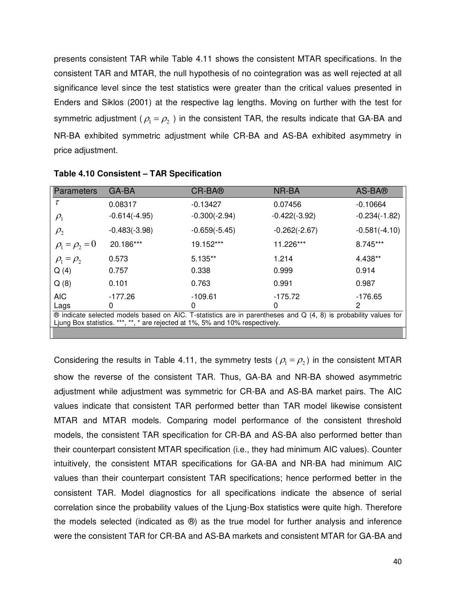presents consistent TAR while [Table 4.11](#page-42-0) shows the consistent MTAR specifications. In the consistent TAR and MTAR, the null hypothesis of no cointegration was as well rejected at all significance level since the test statistics were greater than the critical values presented in Enders and Siklos (2001) at the respective lag lengths. Moving on further with the test for symmetric adjustment ( $\rho_1 = \rho_2$ ) in the consistent TAR, the results indicate that GA-BA and NR-BA exhibited symmetric adjustment while CR-BA and AS-BA exhibited asymmetry in price adjustment.

| Parameters                                                                                                                                                                                       | GA-BA           | CR-BA®          | NR-BA           | AS-BA®          |  |
|--------------------------------------------------------------------------------------------------------------------------------------------------------------------------------------------------|-----------------|-----------------|-----------------|-----------------|--|
| $\tau$                                                                                                                                                                                           | 0.08317         | $-0.13427$      | 0.07456         | $-0.10664$      |  |
| $\rho_{\scriptscriptstyle 1}$                                                                                                                                                                    | $-0.614(-4.95)$ | $-0.300(-2.94)$ | $-0.422(-3.92)$ | $-0.234(-1.82)$ |  |
| $\rho_{2}$                                                                                                                                                                                       | $-0.483(-3.98)$ | $-0.659(-5.45)$ | $-0.262(-2.67)$ | $-0.581(-4.10)$ |  |
| $\rho_1 = \rho_2 = 0$                                                                                                                                                                            | 20.186***       | 19.152***       | 11.226***       | 8.745***        |  |
| $\rho_1 = \rho_2$                                                                                                                                                                                | 0.573           | 5.135**         | 1.214           | 4.438**         |  |
| Q(4)                                                                                                                                                                                             | 0.757           | 0.338           | 0.999           | 0.914           |  |
| Q(8)                                                                                                                                                                                             | 0.101           | 0.763           | 0.991           | 0.987           |  |
| <b>AIC</b>                                                                                                                                                                                       | -177.26         | $-109.61$       | $-175.72$       | $-176.65$       |  |
| Lags                                                                                                                                                                                             | 0               | 0               | 0               | 2               |  |
| ® indicate selected models based on AIC. T-statistics are in parentheses and Q (4, 8) is probability values for<br>Ljung Box statistics. ***, **, * are rejected at 1%, 5% and 10% respectively. |                 |                 |                 |                 |  |

<span id="page-41-0"></span>**Table 4.10 Consistent – TAR Specification** 

Considering the results in [Table 4.11,](#page-42-0) the symmetry tests ( $\rho_1 = \rho_2$ ) in the consistent MTAR show the reverse of the consistent TAR. Thus, GA-BA and NR-BA showed asymmetric adjustment while adjustment was symmetric for CR-BA and AS-BA market pairs. The AIC values indicate that consistent TAR performed better than TAR model likewise consistent MTAR and MTAR models. Comparing model performance of the consistent threshold models, the consistent TAR specification for CR-BA and AS-BA also performed better than their counterpart consistent MTAR specification (i.e., they had minimum AIC values). Counter intuitively, the consistent MTAR specifications for GA-BA and NR-BA had minimum AIC values than their counterpart consistent TAR specifications; hence performed better in the consistent TAR. Model diagnostics for all specifications indicate the absence of serial correlation since the probability values of the Ljung-Box statistics were quite high. Therefore the models selected (indicated as ®) as the true model for further analysis and inference were the consistent TAR for CR-BA and AS-BA markets and consistent MTAR for GA-BA and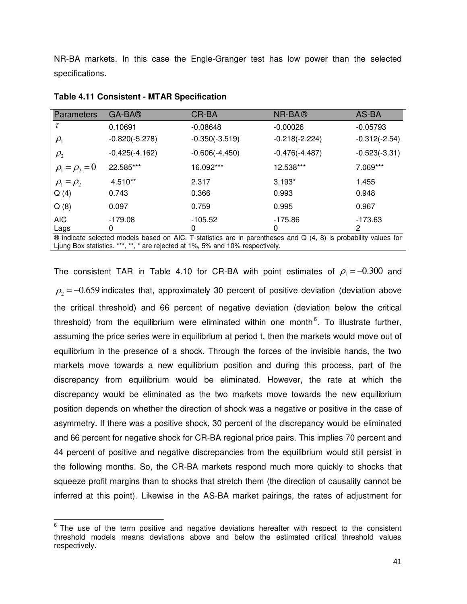NR-BA markets. In this case the Engle-Granger test has low power than the selected specifications.

| <b>Parameters</b>             | GA-BA <sup>®</sup>                                                            | CR-BA            | $NR-BA@$                                                                                                              | AS-BA           |  |  |  |
|-------------------------------|-------------------------------------------------------------------------------|------------------|-----------------------------------------------------------------------------------------------------------------------|-----------------|--|--|--|
| τ                             | 0.10691                                                                       | $-0.08648$       | $-0.00026$                                                                                                            | $-0.05793$      |  |  |  |
| $\rho_{\scriptscriptstyle 1}$ | $-0.820(-5.278)$                                                              | $-0.350(-3.519)$ | $-0.218(-2.224)$                                                                                                      | $-0.312(-2.54)$ |  |  |  |
| $\rho_{2}$                    | $-0.425(-4.162)$                                                              | $-0.606(-4.450)$ | $-0.476(-4.487)$                                                                                                      | $-0.523(-3.31)$ |  |  |  |
| $\rho_1 = \rho_2 = 0$         | 22.585***                                                                     | 16.092***        | 12.538***                                                                                                             | 7.069***        |  |  |  |
| $\rho_1 = \rho_2$             | 4.510**                                                                       | 2.317            | $3.193*$                                                                                                              | 1.455           |  |  |  |
| Q(4)                          | 0.743                                                                         | 0.366            | 0.993                                                                                                                 | 0.948           |  |  |  |
| Q(8)                          | 0.097                                                                         | 0.759            | 0.995                                                                                                                 | 0.967           |  |  |  |
| <b>AIC</b>                    | -179.08                                                                       | $-105.52$        | -175.86                                                                                                               | -173.63         |  |  |  |
| Lags                          | 0                                                                             | 0                | 0                                                                                                                     | 2               |  |  |  |
|                               |                                                                               |                  | $\odot$ indicate selected models based on AIC. T-statistics are in parentheses and Q (4, 8) is probability values for |                 |  |  |  |
|                               | Ljung Box statistics. ***, **, * are rejected at 1%, 5% and 10% respectively. |                  |                                                                                                                       |                 |  |  |  |

#### <span id="page-42-0"></span>**Table 4.11 Consistent - MTAR Specification**

 $\overline{a}$ 

The consistent TAR in [Table 4.10](#page-41-0) for CR-BA with point estimates of  $\rho_1 = -0.300$  and  $\rho_2 = -0.659$  indicates that, approximately 30 percent of positive deviation (deviation above the critical threshold) and 66 percent of negative deviation (deviation below the critical threshold) from the equilibrium were eliminated within one month<sup>6</sup>. To illustrate further, assuming the price series were in equilibrium at period t, then the markets would move out of equilibrium in the presence of a shock. Through the forces of the invisible hands, the two markets move towards a new equilibrium position and during this process, part of the discrepancy from equilibrium would be eliminated. However, the rate at which the discrepancy would be eliminated as the two markets move towards the new equilibrium position depends on whether the direction of shock was a negative or positive in the case of asymmetry. If there was a positive shock, 30 percent of the discrepancy would be eliminated and 66 percent for negative shock for CR-BA regional price pairs. This implies 70 percent and 44 percent of positive and negative discrepancies from the equilibrium would still persist in the following months. So, the CR-BA markets respond much more quickly to shocks that squeeze profit margins than to shocks that stretch them (the direction of causality cannot be inferred at this point). Likewise in the AS-BA market pairings, the rates of adjustment for

 $6$  The use of the term positive and negative deviations hereafter with respect to the consistent threshold models means deviations above and below the estimated critical threshold values respectively.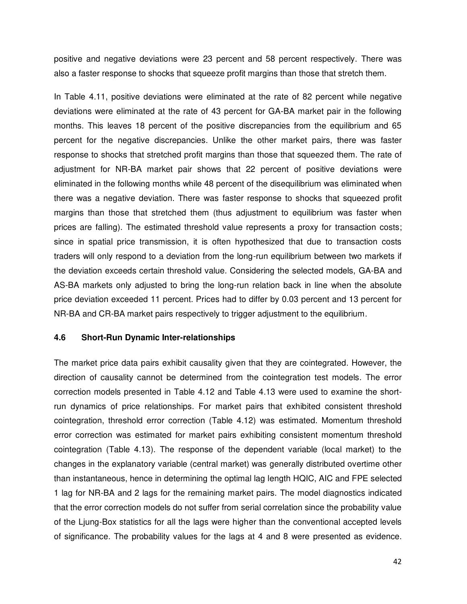positive and negative deviations were 23 percent and 58 percent respectively. There was also a faster response to shocks that squeeze profit margins than those that stretch them.

In [Table 4.11,](#page-42-0) positive deviations were eliminated at the rate of 82 percent while negative deviations were eliminated at the rate of 43 percent for GA-BA market pair in the following months. This leaves 18 percent of the positive discrepancies from the equilibrium and 65 percent for the negative discrepancies. Unlike the other market pairs, there was faster response to shocks that stretched profit margins than those that squeezed them. The rate of adjustment for NR-BA market pair shows that 22 percent of positive deviations were eliminated in the following months while 48 percent of the disequilibrium was eliminated when there was a negative deviation. There was faster response to shocks that squeezed profit margins than those that stretched them (thus adjustment to equilibrium was faster when prices are falling). The estimated threshold value represents a proxy for transaction costs; since in spatial price transmission, it is often hypothesized that due to transaction costs traders will only respond to a deviation from the long-run equilibrium between two markets if the deviation exceeds certain threshold value. Considering the selected models, GA-BA and AS-BA markets only adjusted to bring the long-run relation back in line when the absolute price deviation exceeded 11 percent. Prices had to differ by 0.03 percent and 13 percent for NR-BA and CR-BA market pairs respectively to trigger adjustment to the equilibrium.

# **4.6 Short-Run Dynamic Inter-relationships**

The market price data pairs exhibit causality given that they are cointegrated. However, the direction of causality cannot be determined from the cointegration test models. The error correction models presented in [Table 4.12](#page-44-0) and [Table 4.13](#page-46-0) were used to examine the shortrun dynamics of price relationships. For market pairs that exhibited consistent threshold cointegration, threshold error correction [\(Table 4.12\)](#page-44-0) was estimated. Momentum threshold error correction was estimated for market pairs exhibiting consistent momentum threshold cointegration [\(Table 4.13\)](#page-46-0). The response of the dependent variable (local market) to the changes in the explanatory variable (central market) was generally distributed overtime other than instantaneous, hence in determining the optimal lag length HQIC, AIC and FPE selected 1 lag for NR-BA and 2 lags for the remaining market pairs. The model diagnostics indicated that the error correction models do not suffer from serial correlation since the probability value of the Ljung-Box statistics for all the lags were higher than the conventional accepted levels of significance. The probability values for the lags at 4 and 8 were presented as evidence.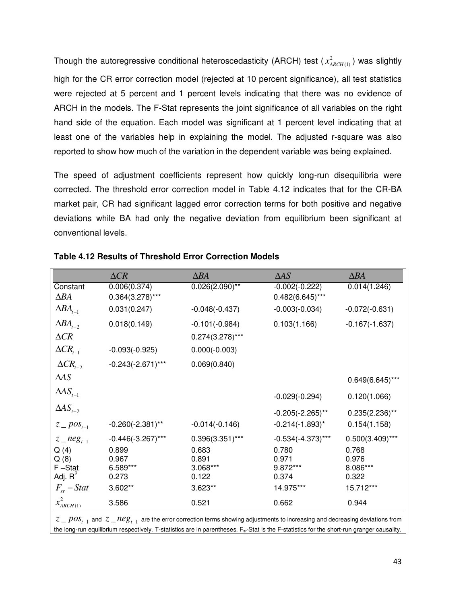Though the autoregressive conditional heteroscedasticity (ARCH) test ( $x^2_{ARCH(1)}$ ) was slightly high for the CR error correction model (rejected at 10 percent significance), all test statistics were rejected at 5 percent and 1 percent levels indicating that there was no evidence of ARCH in the models. The F-Stat represents the joint significance of all variables on the right hand side of the equation. Each model was significant at 1 percent level indicating that at least one of the variables help in explaining the model. The adjusted r-square was also reported to show how much of the variation in the dependent variable was being explained.

The speed of adjustment coefficients represent how quickly long-run disequilibria were corrected. The threshold error correction model in [Table 4.12](#page-44-0) indicates that for the CR-BA market pair, CR had significant lagged error correction terms for both positive and negative deviations while BA had only the negative deviation from equilibrium been significant at conventional levels.

|                            | $\triangle CR$       | $\triangle BA$                                                                                                                                  | $\Delta AS$          | $\triangle BA$     |
|----------------------------|----------------------|-------------------------------------------------------------------------------------------------------------------------------------------------|----------------------|--------------------|
| Constant                   | 0.006(0.374)         | $0.026(2.090)$ **                                                                                                                               | $-0.002(-0.222)$     | 0.014(1.246)       |
| $\Delta BA$                | $0.364(3.278)$ ***   |                                                                                                                                                 | $0.482(6.645)***$    |                    |
| $\triangle BA_{t-1}$       | 0.031(0.247)         | $-0.048(-0.437)$                                                                                                                                | $-0.003(-0.034)$     | $-0.072(-0.631)$   |
| $\Delta BA$ <sub>t-2</sub> | 0.018(0.149)         | $-0.101(-0.984)$                                                                                                                                | 0.103(1.166)         | $-0.167(-1.637)$   |
| $\triangle CR$             |                      | $0.274(3.278)$ ***                                                                                                                              |                      |                    |
| $\Delta CR_{t-1}$          | $-0.093(-0.925)$     | $0.000(-0.003)$                                                                                                                                 |                      |                    |
| $\Delta CR$ <sub>t-2</sub> | $-0.243(-2.671)***$  | 0.069(0.840)                                                                                                                                    |                      |                    |
| $\Delta AS$                |                      |                                                                                                                                                 |                      | $0.649(6.645)$ *** |
| $\Delta AS_{t-1}$          |                      |                                                                                                                                                 | $-0.029(-0.294)$     | 0.120(1.066)       |
| $\Delta AS_{t-2}$          |                      |                                                                                                                                                 | $-0.205(-2.265)$ **  | $0.235(2.236)$ **  |
| $z\_{pos_{t-1}}$           | $-0.260(-2.381)$ **  | $-0.014(-0.146)$                                                                                                                                | $-0.214(-1.893)^{*}$ | 0.154(1.158)       |
| $z_{n}$ eg <sub>t-1</sub>  | $-0.446(-3.267)$ *** | $0.396(3.351)$ ***                                                                                                                              | $-0.534(-4.373)$ *** | $0.500(3.409)$ *** |
| Q(4)                       | 0.899                | 0.683                                                                                                                                           | 0.780                | 0.768              |
| Q(8)                       | 0.967                | 0.891                                                                                                                                           | 0.971                | 0.976              |
| F-Stat                     | 6.589***             | 3.068***                                                                                                                                        | 9.872***             | 8.086***           |
| Adj. $R^2$                 | 0.273                | 0.122                                                                                                                                           | 0.374                | 0.322              |
| $F_{cr}$ – Stat            | $3.602**$            | 3.623**                                                                                                                                         | 14.975***            | 15.712***          |
| $x_{ARCH(1)}^2$            | 3.586                | 0.521                                                                                                                                           | 0.662                | 0.944              |
|                            |                      | $Z$ $DOS_{t-1}$ and $Z$ $Deg_{t-1}$ are the error correction terms showing adjustments to increasing and decreasing deviations from             |                      |                    |
|                            |                      | the long-run equilibrium respectively. T-statistics are in parentheses. $F_{sr}$ -Stat is the F-statistics for the short-run granger causality. |                      |                    |

<span id="page-44-0"></span>

| <b>Table 4.12 Results of Threshold Error Correction Models</b> |  |  |
|----------------------------------------------------------------|--|--|
|----------------------------------------------------------------|--|--|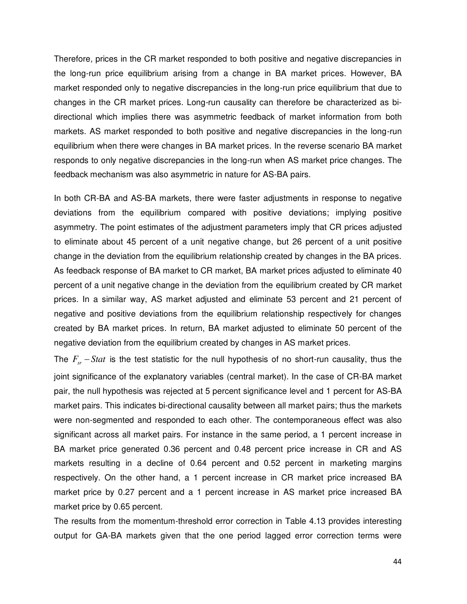Therefore, prices in the CR market responded to both positive and negative discrepancies in the long-run price equilibrium arising from a change in BA market prices. However, BA market responded only to negative discrepancies in the long-run price equilibrium that due to changes in the CR market prices. Long-run causality can therefore be characterized as bidirectional which implies there was asymmetric feedback of market information from both markets. AS market responded to both positive and negative discrepancies in the long-run equilibrium when there were changes in BA market prices. In the reverse scenario BA market responds to only negative discrepancies in the long-run when AS market price changes. The feedback mechanism was also asymmetric in nature for AS-BA pairs.

In both CR-BA and AS-BA markets, there were faster adjustments in response to negative deviations from the equilibrium compared with positive deviations; implying positive asymmetry. The point estimates of the adjustment parameters imply that CR prices adjusted to eliminate about 45 percent of a unit negative change, but 26 percent of a unit positive change in the deviation from the equilibrium relationship created by changes in the BA prices. As feedback response of BA market to CR market, BA market prices adjusted to eliminate 40 percent of a unit negative change in the deviation from the equilibrium created by CR market prices. In a similar way, AS market adjusted and eliminate 53 percent and 21 percent of negative and positive deviations from the equilibrium relationship respectively for changes created by BA market prices. In return, BA market adjusted to eliminate 50 percent of the negative deviation from the equilibrium created by changes in AS market prices.

The  $F_{sr}$  – Stat is the test statistic for the null hypothesis of no short-run causality, thus the joint significance of the explanatory variables (central market). In the case of CR-BA market pair, the null hypothesis was rejected at 5 percent significance level and 1 percent for AS-BA market pairs. This indicates bi-directional causality between all market pairs; thus the markets were non-segmented and responded to each other. The contemporaneous effect was also significant across all market pairs. For instance in the same period, a 1 percent increase in BA market price generated 0.36 percent and 0.48 percent price increase in CR and AS markets resulting in a decline of 0.64 percent and 0.52 percent in marketing margins respectively. On the other hand, a 1 percent increase in CR market price increased BA market price by 0.27 percent and a 1 percent increase in AS market price increased BA market price by 0.65 percent.

The results from the momentum-threshold error correction in [Table 4.13](#page-46-0) provides interesting output for GA-BA markets given that the one period lagged error correction terms were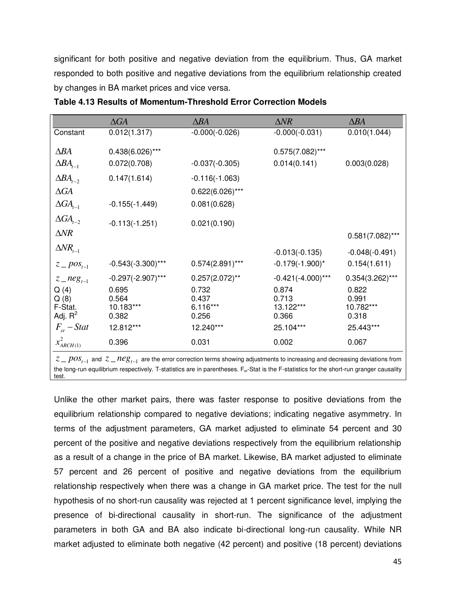significant for both positive and negative deviation from the equilibrium. Thus, GA market responded to both positive and negative deviations from the equilibrium relationship created by changes in BA market prices and vice versa.

|                                                          | $\Delta GA$                                       | $\triangle BA$                                     | $\triangle$ NR                                    | $\triangle BA$                                    |
|----------------------------------------------------------|---------------------------------------------------|----------------------------------------------------|---------------------------------------------------|---------------------------------------------------|
| Constant                                                 | 0.012(1.317)                                      | $-0.000(-0.026)$                                   | $-0.000(-0.031)$                                  | 0.010(1.044)                                      |
| $\triangle BA$                                           | $0.438(6.026)***$                                 |                                                    | $0.575(7.082)$ ***                                |                                                   |
| $\triangle BA_{t-1}$                                     | 0.072(0.708)                                      | $-0.037(-0.305)$                                   | 0.014(0.141)                                      | 0.003(0.028)                                      |
| $\Delta BA$ <sub>t-2</sub>                               | 0.147(1.614)                                      | $-0.116(-1.063)$                                   |                                                   |                                                   |
| $\Delta GA$                                              |                                                   | $0.622(6.026)***$                                  |                                                   |                                                   |
| $\Delta GA_{t-1}$                                        | $-0.155(-1.449)$                                  | 0.081(0.628)                                       |                                                   |                                                   |
| $\Delta GA$ <sub>t-2</sub>                               | $-0.113(-1.251)$                                  | 0.021(0.190)                                       |                                                   |                                                   |
| $\triangle$ NR                                           |                                                   |                                                    |                                                   | $0.581(7.082)$ ***                                |
| $\Delta N R_{t-1}$                                       |                                                   |                                                    | $-0.013(-0.135)$                                  | $-0.048(-0.491)$                                  |
| $z\_{pos_{t-1}}$                                         | $-0.543(-3.300)$ ***                              | $0.574(2.891)$ ***                                 | $-0.179(-1.900)^{*}$                              | 0.154(1.611)                                      |
| $z_{\perp}$ neg <sub>t-1</sub>                           | $-0.297(-2.907)$ ***                              | $0.257(2.072)$ **                                  | $-0.421(-4.000)$ ***                              | $0.354(3.262)***$                                 |
| Q(4)<br>Q(8)<br>F-Stat.<br>Adj. $R^2$<br>$F_{cr}$ – Stat | 0.695<br>0.564<br>10.183***<br>0.382<br>12.812*** | 0.732<br>0.437<br>$6.116***$<br>0.256<br>12.240*** | 0.874<br>0.713<br>13.122***<br>0.366<br>25.104*** | 0.822<br>0.991<br>10.782***<br>0.318<br>25.443*** |
| $x_{ARCH(1)}^2$                                          | 0.396                                             | 0.031                                              | 0.002                                             | 0.067                                             |

<span id="page-46-0"></span>**Table 4.13 Results of Momentum-Threshold Error Correction Models** 

 $z\_{pos_{t-1}}$  and  $z\_{neg{Reg_{t-1}}}$  are the error correction terms showing adjustments to increasing and decreasing deviations from the long-run equilibrium respectively. T-statistics are in parentheses. F<sub>sr</sub>-Stat is the F-statistics for the short-run granger causality test.

Unlike the other market pairs, there was faster response to positive deviations from the equilibrium relationship compared to negative deviations; indicating negative asymmetry. In terms of the adjustment parameters, GA market adjusted to eliminate 54 percent and 30 percent of the positive and negative deviations respectively from the equilibrium relationship as a result of a change in the price of BA market. Likewise, BA market adjusted to eliminate 57 percent and 26 percent of positive and negative deviations from the equilibrium relationship respectively when there was a change in GA market price. The test for the null hypothesis of no short-run causality was rejected at 1 percent significance level, implying the presence of bi-directional causality in short-run. The significance of the adjustment parameters in both GA and BA also indicate bi-directional long-run causality. While NR market adjusted to eliminate both negative (42 percent) and positive (18 percent) deviations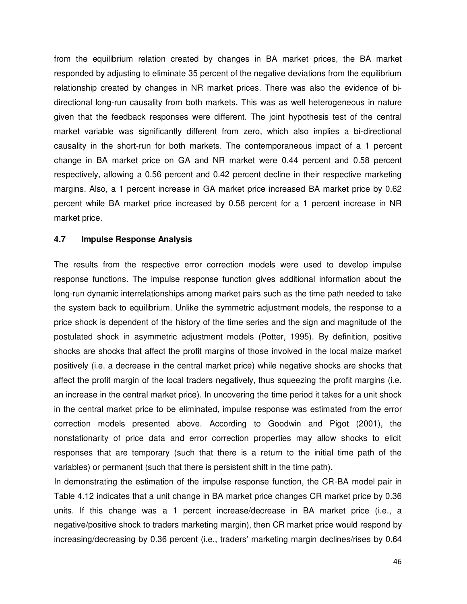from the equilibrium relation created by changes in BA market prices, the BA market responded by adjusting to eliminate 35 percent of the negative deviations from the equilibrium relationship created by changes in NR market prices. There was also the evidence of bidirectional long-run causality from both markets. This was as well heterogeneous in nature given that the feedback responses were different. The joint hypothesis test of the central market variable was significantly different from zero, which also implies a bi-directional causality in the short-run for both markets. The contemporaneous impact of a 1 percent change in BA market price on GA and NR market were 0.44 percent and 0.58 percent respectively, allowing a 0.56 percent and 0.42 percent decline in their respective marketing margins. Also, a 1 percent increase in GA market price increased BA market price by 0.62 percent while BA market price increased by 0.58 percent for a 1 percent increase in NR market price.

# **4.7 Impulse Response Analysis**

The results from the respective error correction models were used to develop impulse response functions. The impulse response function gives additional information about the long-run dynamic interrelationships among market pairs such as the time path needed to take the system back to equilibrium. Unlike the symmetric adjustment models, the response to a price shock is dependent of the history of the time series and the sign and magnitude of the postulated shock in asymmetric adjustment models (Potter, 1995). By definition, positive shocks are shocks that affect the profit margins of those involved in the local maize market positively (i.e. a decrease in the central market price) while negative shocks are shocks that affect the profit margin of the local traders negatively, thus squeezing the profit margins (i.e. an increase in the central market price). In uncovering the time period it takes for a unit shock in the central market price to be eliminated, impulse response was estimated from the error correction models presented above. According to Goodwin and Pigot (2001), the nonstationarity of price data and error correction properties may allow shocks to elicit responses that are temporary (such that there is a return to the initial time path of the variables) or permanent (such that there is persistent shift in the time path).

In demonstrating the estimation of the impulse response function, the CR-BA model pair in [Table 4.12](#page-44-0) indicates that a unit change in BA market price changes CR market price by 0.36 units. If this change was a 1 percent increase/decrease in BA market price (i.e., a negative/positive shock to traders marketing margin), then CR market price would respond by increasing/decreasing by 0.36 percent (i.e., traders' marketing margin declines/rises by 0.64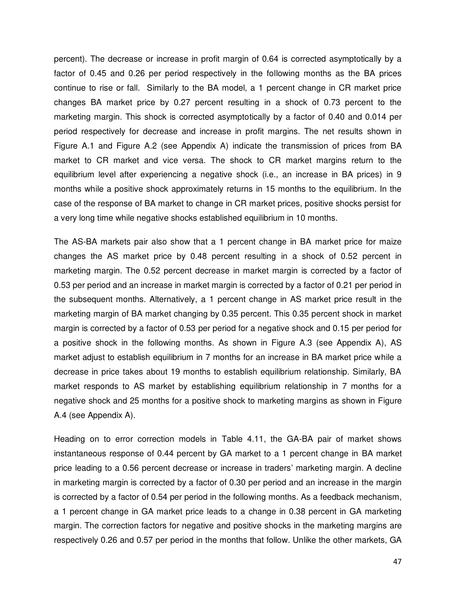percent). The decrease or increase in profit margin of 0.64 is corrected asymptotically by a factor of 0.45 and 0.26 per period respectively in the following months as the BA prices continue to rise or fall. Similarly to the BA model, a 1 percent change in CR market price changes BA market price by 0.27 percent resulting in a shock of 0.73 percent to the marketing margin. This shock is corrected asymptotically by a factor of 0.40 and 0.014 per period respectively for decrease and increase in profit margins. The net results shown in [Figure A.1](#page-61-0) and [Figure A.2](#page-61-1) (see Appendix A) indicate the transmission of prices from BA market to CR market and vice versa. The shock to CR market margins return to the equilibrium level after experiencing a negative shock (i.e., an increase in BA prices) in 9 months while a positive shock approximately returns in 15 months to the equilibrium. In the case of the response of BA market to change in CR market prices, positive shocks persist for a very long time while negative shocks established equilibrium in 10 months.

The AS-BA markets pair also show that a 1 percent change in BA market price for maize changes the AS market price by 0.48 percent resulting in a shock of 0.52 percent in marketing margin. The 0.52 percent decrease in market margin is corrected by a factor of 0.53 per period and an increase in market margin is corrected by a factor of 0.21 per period in the subsequent months. Alternatively, a 1 percent change in AS market price result in the marketing margin of BA market changing by 0.35 percent. This 0.35 percent shock in market margin is corrected by a factor of 0.53 per period for a negative shock and 0.15 per period for a positive shock in the following months. As shown in [Figure A.3](#page-62-0) (see Appendix A), AS market adjust to establish equilibrium in 7 months for an increase in BA market price while a decrease in price takes about 19 months to establish equilibrium relationship. Similarly, BA market responds to AS market by establishing equilibrium relationship in 7 months for a negative shock and 25 months for a positive shock to marketing margins as shown in [Figure](#page-62-1)  [A.4](#page-62-1) (see Appendix A).

Heading on to error correction models in [Table 4.11,](#page-42-0) the GA-BA pair of market shows instantaneous response of 0.44 percent by GA market to a 1 percent change in BA market price leading to a 0.56 percent decrease or increase in traders' marketing margin. A decline in marketing margin is corrected by a factor of 0.30 per period and an increase in the margin is corrected by a factor of 0.54 per period in the following months. As a feedback mechanism, a 1 percent change in GA market price leads to a change in 0.38 percent in GA marketing margin. The correction factors for negative and positive shocks in the marketing margins are respectively 0.26 and 0.57 per period in the months that follow. Unlike the other markets, GA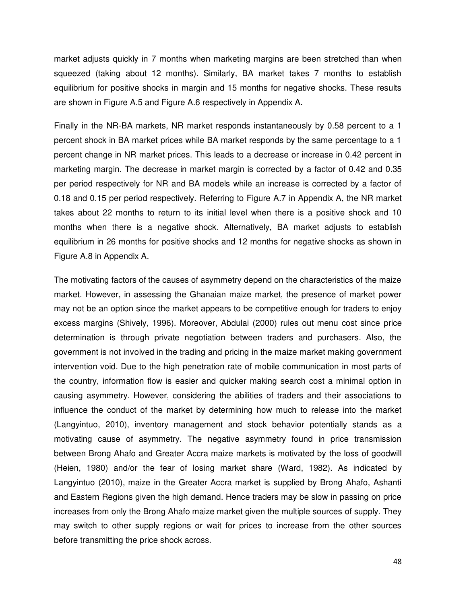market adjusts quickly in 7 months when marketing margins are been stretched than when squeezed (taking about 12 months). Similarly, BA market takes 7 months to establish equilibrium for positive shocks in margin and 15 months for negative shocks. These results are shown in [Figure A.5](#page-63-0) and [Figure A.6](#page-63-1) respectively in Appendix A.

Finally in the NR-BA markets, NR market responds instantaneously by 0.58 percent to a 1 percent shock in BA market prices while BA market responds by the same percentage to a 1 percent change in NR market prices. This leads to a decrease or increase in 0.42 percent in marketing margin. The decrease in market margin is corrected by a factor of 0.42 and 0.35 per period respectively for NR and BA models while an increase is corrected by a factor of 0.18 and 0.15 per period respectively. Referring to [Figure A.7](#page-64-0) in Appendix A, the NR market takes about 22 months to return to its initial level when there is a positive shock and 10 months when there is a negative shock. Alternatively, BA market adjusts to establish equilibrium in 26 months for positive shocks and 12 months for negative shocks as shown in [Figure A.8](#page-64-1) in Appendix A.

The motivating factors of the causes of asymmetry depend on the characteristics of the maize market. However, in assessing the Ghanaian maize market, the presence of market power may not be an option since the market appears to be competitive enough for traders to enjoy excess margins (Shively, 1996). Moreover, Abdulai (2000) rules out menu cost since price determination is through private negotiation between traders and purchasers. Also, the government is not involved in the trading and pricing in the maize market making government intervention void. Due to the high penetration rate of mobile communication in most parts of the country, information flow is easier and quicker making search cost a minimal option in causing asymmetry. However, considering the abilities of traders and their associations to influence the conduct of the market by determining how much to release into the market (Langyintuo, 2010), inventory management and stock behavior potentially stands as a motivating cause of asymmetry. The negative asymmetry found in price transmission between Brong Ahafo and Greater Accra maize markets is motivated by the loss of goodwill (Heien, 1980) and/or the fear of losing market share (Ward, 1982). As indicated by Langyintuo (2010), maize in the Greater Accra market is supplied by Brong Ahafo, Ashanti and Eastern Regions given the high demand. Hence traders may be slow in passing on price increases from only the Brong Ahafo maize market given the multiple sources of supply. They may switch to other supply regions or wait for prices to increase from the other sources before transmitting the price shock across.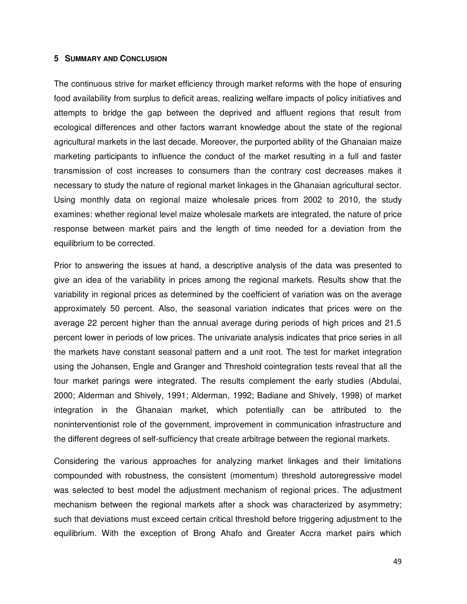#### **5 SUMMARY AND CONCLUSION**

The continuous strive for market efficiency through market reforms with the hope of ensuring food availability from surplus to deficit areas, realizing welfare impacts of policy initiatives and attempts to bridge the gap between the deprived and affluent regions that result from ecological differences and other factors warrant knowledge about the state of the regional agricultural markets in the last decade. Moreover, the purported ability of the Ghanaian maize marketing participants to influence the conduct of the market resulting in a full and faster transmission of cost increases to consumers than the contrary cost decreases makes it necessary to study the nature of regional market linkages in the Ghanaian agricultural sector. Using monthly data on regional maize wholesale prices from 2002 to 2010, the study examines: whether regional level maize wholesale markets are integrated, the nature of price response between market pairs and the length of time needed for a deviation from the equilibrium to be corrected.

Prior to answering the issues at hand, a descriptive analysis of the data was presented to give an idea of the variability in prices among the regional markets. Results show that the variability in regional prices as determined by the coefficient of variation was on the average approximately 50 percent. Also, the seasonal variation indicates that prices were on the average 22 percent higher than the annual average during periods of high prices and 21.5 percent lower in periods of low prices. The univariate analysis indicates that price series in all the markets have constant seasonal pattern and a unit root. The test for market integration using the Johansen, Engle and Granger and Threshold cointegration tests reveal that all the four market parings were integrated. The results complement the early studies (Abdulai, 2000; Alderman and Shively, 1991; Alderman, 1992; Badiane and Shively, 1998) of market integration in the Ghanaian market, which potentially can be attributed to the noninterventionist role of the government, improvement in communication infrastructure and the different degrees of self-sufficiency that create arbitrage between the regional markets.

Considering the various approaches for analyzing market linkages and their limitations compounded with robustness, the consistent (momentum) threshold autoregressive model was selected to best model the adjustment mechanism of regional prices. The adjustment mechanism between the regional markets after a shock was characterized by asymmetry; such that deviations must exceed certain critical threshold before triggering adjustment to the equilibrium. With the exception of Brong Ahafo and Greater Accra market pairs which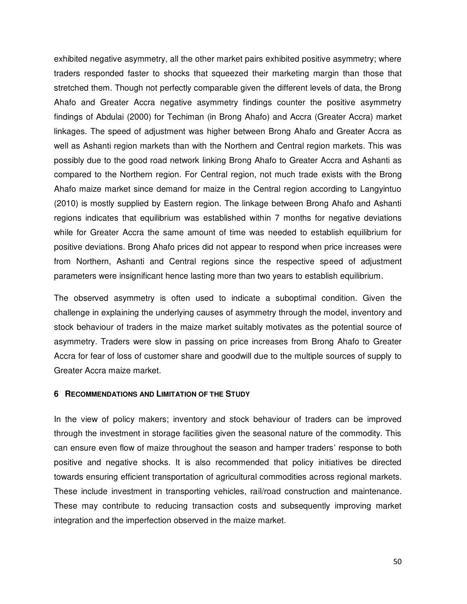exhibited negative asymmetry, all the other market pairs exhibited positive asymmetry; where traders responded faster to shocks that squeezed their marketing margin than those that stretched them. Though not perfectly comparable given the different levels of data, the Brong Ahafo and Greater Accra negative asymmetry findings counter the positive asymmetry findings of Abdulai (2000) for Techiman (in Brong Ahafo) and Accra (Greater Accra) market linkages. The speed of adjustment was higher between Brong Ahafo and Greater Accra as well as Ashanti region markets than with the Northern and Central region markets. This was possibly due to the good road network linking Brong Ahafo to Greater Accra and Ashanti as compared to the Northern region. For Central region, not much trade exists with the Brong Ahafo maize market since demand for maize in the Central region according to Langyintuo (2010) is mostly supplied by Eastern region. The linkage between Brong Ahafo and Ashanti regions indicates that equilibrium was established within 7 months for negative deviations while for Greater Accra the same amount of time was needed to establish equilibrium for positive deviations. Brong Ahafo prices did not appear to respond when price increases were from Northern, Ashanti and Central regions since the respective speed of adjustment parameters were insignificant hence lasting more than two years to establish equilibrium.

The observed asymmetry is often used to indicate a suboptimal condition. Given the challenge in explaining the underlying causes of asymmetry through the model, inventory and stock behaviour of traders in the maize market suitably motivates as the potential source of asymmetry. Traders were slow in passing on price increases from Brong Ahafo to Greater Accra for fear of loss of customer share and goodwill due to the multiple sources of supply to Greater Accra maize market.

## **6 RECOMMENDATIONS AND LIMITATION OF THE STUDY**

In the view of policy makers; inventory and stock behaviour of traders can be improved through the investment in storage facilities given the seasonal nature of the commodity. This can ensure even flow of maize throughout the season and hamper traders' response to both positive and negative shocks. It is also recommended that policy initiatives be directed towards ensuring efficient transportation of agricultural commodities across regional markets. These include investment in transporting vehicles, rail/road construction and maintenance. These may contribute to reducing transaction costs and subsequently improving market integration and the imperfection observed in the maize market.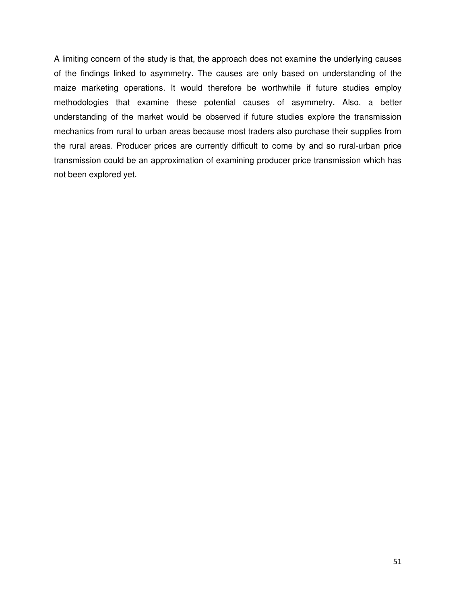A limiting concern of the study is that, the approach does not examine the underlying causes of the findings linked to asymmetry. The causes are only based on understanding of the maize marketing operations. It would therefore be worthwhile if future studies employ methodologies that examine these potential causes of asymmetry. Also, a better understanding of the market would be observed if future studies explore the transmission mechanics from rural to urban areas because most traders also purchase their supplies from the rural areas. Producer prices are currently difficult to come by and so rural-urban price transmission could be an approximation of examining producer price transmission which has not been explored yet.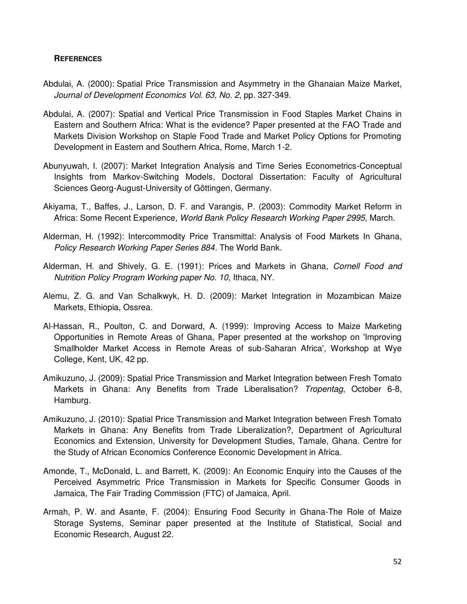# **REFERENCES**

- Abdulai, A. (2000): Spatial Price Transmission and Asymmetry in the Ghanaian Maize Market, *Journal of Development Economics Vol. 63, No. 2*, pp. 327-349.
- Abdulai, A. (2007): Spatial and Vertical Price Transmission in Food Staples Market Chains in Eastern and Southern Africa: What is the evidence? Paper presented at the FAO Trade and Markets Division Workshop on Staple Food Trade and Market Policy Options for Promoting Development in Eastern and Southern Africa, Rome, March 1-2.
- Abunyuwah, I. (2007): Market Integration Analysis and Time Series Econometrics-Conceptual Insights from Markov-Switching Models, Doctoral Dissertation: Faculty of Agricultural Sciences Georg-August-University of Göttingen, Germany.
- Akiyama, T., Baffes, J., Larson, D. F. and Varangis, P. (2003): Commodity Market Reform in Africa: Some Recent Experience, *World Bank Policy Research Working Paper 2995*, March.
- Alderman, H. (1992): Intercommodity Price Transmittal: Analysis of Food Markets In Ghana, *Policy Research Working Paper Series 884*. The World Bank.
- Alderman, H. and Shively, G. E. (1991): Prices and Markets in Ghana, *Cornell Food and Nutrition Policy Program Working paper No. 10,* Ithaca, NY.
- Alemu, Z. G. and Van Schalkwyk, H. D. (2009): Market Integration in Mozambican Maize Markets, Ethiopia, Ossrea.
- Al-Hassan, R., Poulton, C. and Dorward, A. (1999): Improving Access to Maize Marketing Opportunities in Remote Areas of Ghana, Paper presented at the workshop on 'Improving Smallholder Market Access in Remote Areas of sub-Saharan Africa', Workshop at Wye College, Kent, UK, 42 pp.
- Amikuzuno, J. (2009): Spatial Price Transmission and Market Integration between Fresh Tomato Markets in Ghana: Any Benefits from Trade Liberalisation? *Tropentag*, October 6-8, Hamburg.
- Amikuzuno, J. (2010): Spatial Price Transmission and Market Integration between Fresh Tomato Markets in Ghana: Any Benefits from Trade Liberalization?, Department of Agricultural Economics and Extension, University for Development Studies, Tamale, Ghana. Centre for the Study of African Economics Conference Economic Development in Africa.
- Amonde, T., McDonald, L. and Barrett, K. (2009): An Economic Enquiry into the Causes of the Perceived Asymmetric Price Transmission in Markets for Specific Consumer Goods in Jamaica, The Fair Trading Commission (FTC) of Jamaica, April.
- Armah, P. W. and Asante, F. (2004): Ensuring Food Security in Ghana-The Role of Maize Storage Systems, Seminar paper presented at the Institute of Statistical, Social and Economic Research, August 22.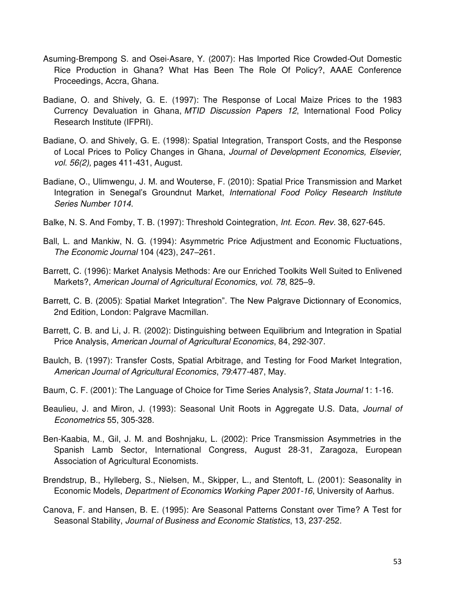- Asuming-Brempong S. and Osei-Asare, Y. (2007): Has Imported Rice Crowded-Out Domestic Rice Production in Ghana? What Has Been The Role Of Policy?, AAAE Conference Proceedings, Accra, Ghana.
- Badiane, O. and Shively, G. E. (1997): The Response of Local Maize Prices to the 1983 Currency Devaluation in Ghana, *MTID Discussion Papers 12*, International Food Policy Research Institute (IFPRI).
- Badiane, O. and Shively, G. E. (1998): Spatial Integration, Transport Costs, and the Response of Local Prices to Policy Changes in Ghana, *Journal of Development Economics, Elsevier, vol. 56(2),* pages 411-431, August.
- Badiane, O., Ulimwengu, J. M. and Wouterse, F. (2010): Spatial Price Transmission and Market Integration in Senegal's Groundnut Market, *International Food Policy Research Institute Series Number 1014*.
- Balke, N. S. And Fomby, T. B. (1997): Threshold Cointegration, *Int. Econ. Rev*. 38, 627-645.
- Ball, L. and Mankiw, N. G. (1994): Asymmetric Price Adjustment and Economic Fluctuations, *The Economic Journal* 104 (423), 247–261.
- Barrett, C. (1996): Market Analysis Methods: Are our Enriched Toolkits Well Suited to Enlivened Markets?, *American Journal of Agricultural Economics, vol. 78*, 825–9.
- Barrett, C. B. (2005): Spatial Market Integration". The New Palgrave Dictionnary of Economics, 2nd Edition, London: Palgrave Macmillan.
- Barrett, C. B. and Li, J. R. (2002): Distinguishing between Equilibrium and Integration in Spatial Price Analysis, *American Journal of Agricultural Economics*, 84, 292-307.
- Baulch, B. (1997): Transfer Costs, Spatial Arbitrage, and Testing for Food Market Integration, *American Journal of Agricultural Economics*, *79*:477-487, May.
- Baum, C. F. (2001): The Language of Choice for Time Series Analysis?, *Stata Journal* 1: 1-16.
- Beaulieu, J. and Miron, J. (1993): Seasonal Unit Roots in Aggregate U.S. Data, *Journal of Econometrics* 55, 305-328.
- Ben-Kaabia, M., Gil, J. M. and Boshnjaku, L. (2002): Price Transmission Asymmetries in the Spanish Lamb Sector, International Congress, August 28-31, Zaragoza, European Association of Agricultural Economists.
- Brendstrup, B., Hylleberg, S., Nielsen, M., Skipper, L., and Stentoft, L. (2001): Seasonality in Economic Models, *Department of Economics Working Paper 2001-16*, University of Aarhus.
- Canova, F. and Hansen, B. E. (1995): Are Seasonal Patterns Constant over Time? A Test for Seasonal Stability, *Journal of Business and Economic Statistics*, 13, 237-252.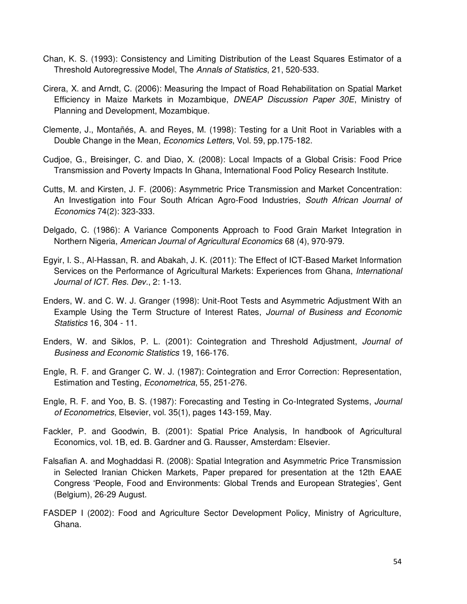- Chan, K. S. (1993): Consistency and Limiting Distribution of the Least Squares Estimator of a Threshold Autoregressive Model, The *Annals of Statistics*, 21, 520-533.
- Cirera, X. and Arndt, C. (2006): Measuring the Impact of Road Rehabilitation on Spatial Market Efficiency in Maize Markets in Mozambique, *DNEAP Discussion Paper 30E*, Ministry of Planning and Development, Mozambique.
- Clemente, J., Montañés, A. and Reyes, M. (1998): Testing for a Unit Root in Variables with a Double Change in the Mean, *Economics Letters*, Vol. 59, pp.175-182.
- Cudjoe, G., Breisinger, C. and Diao, X. (2008): Local Impacts of a Global Crisis: Food Price Transmission and Poverty Impacts In Ghana, International Food Policy Research Institute.
- Cutts, M. and Kirsten, J. F. (2006): Asymmetric Price Transmission and Market Concentration: An Investigation into Four South African Agro-Food Industries, *South African Journal of Economics* 74(2): 323-333.
- Delgado, C. (1986): A Variance Components Approach to Food Grain Market Integration in Northern Nigeria, *American Journal of Agricultural Economics* 68 (4), 970-979.
- Egyir, I. S., Al-Hassan, R. and Abakah, J. K. (2011): The Effect of ICT-Based Market Information Services on the Performance of Agricultural Markets: Experiences from Ghana, *International Journal of ICT. Res. Dev*., 2: 1-13.
- Enders, W. and C. W. J. Granger (1998): Unit-Root Tests and Asymmetric Adjustment With an Example Using the Term Structure of Interest Rates, *Journal of Business and Economic Statistics* 16, 304 - 11.
- Enders, W. and Siklos, P. L. (2001): Cointegration and Threshold Adjustment, *Journal of Business and Economic Statistics* 19, 166-176.
- Engle, R. F. and Granger C. W. J. (1987): Cointegration and Error Correction: Representation, Estimation and Testing, *Econometrica*, 55, 251-276.
- Engle, R. F. and Yoo, B. S. (1987): Forecasting and Testing in Co-Integrated Systems, *Journal of Econometrics*, Elsevier, vol. 35(1), pages 143-159, May.
- Fackler, P. and Goodwin, B. (2001): Spatial Price Analysis, In handbook of Agricultural Economics, vol. 1B, ed. B. Gardner and G. Rausser, Amsterdam: Elsevier.
- Falsafian A. and Moghaddasi R. (2008): Spatial Integration and Asymmetric Price Transmission in Selected Iranian Chicken Markets, Paper prepared for presentation at the 12th EAAE Congress 'People, Food and Environments: Global Trends and European Strategies', Gent (Belgium), 26-29 August.
- FASDEP I (2002): Food and Agriculture Sector Development Policy, Ministry of Agriculture, Ghana.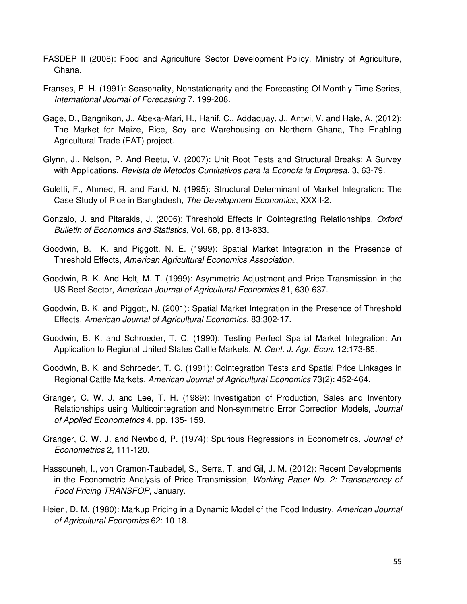- FASDEP II (2008): Food and Agriculture Sector Development Policy, Ministry of Agriculture, Ghana.
- Franses, P. H. (1991): Seasonality, Nonstationarity and the Forecasting Of Monthly Time Series, *International Journal of Forecasting* 7, 199-208.
- Gage, D., Bangnikon, J., Abeka-Afari, H., Hanif, C., Addaquay, J., Antwi, V. and Hale, A. (2012): The Market for Maize, Rice, Soy and Warehousing on Northern Ghana, The Enabling Agricultural Trade (EAT) project.
- Glynn, J., Nelson, P. And Reetu, V. (2007): Unit Root Tests and Structural Breaks: A Survey with Applications, *Revista de Metodos Cuntitativos para la Econofa la Empresa*, 3, 63-79.
- Goletti, F., Ahmed, R. and Farid, N. (1995): Structural Determinant of Market Integration: The Case Study of Rice in Bangladesh, *The Development Economics*, XXXII-2.
- Gonzalo, J. and Pitarakis, J. (2006): Threshold Effects in Cointegrating Relationships. *Oxford Bulletin of Economics and Statistics*, Vol. 68, pp. 813-833.
- Goodwin, B. K. and Piggott, N. E. (1999): Spatial Market Integration in the Presence of Threshold Effects, *American Agricultural Economics Association*.
- Goodwin, B. K. And Holt, M. T. (1999): Asymmetric Adjustment and Price Transmission in the US Beef Sector, *American Journal of Agricultural Economics* 81, 630-637.
- Goodwin, B. K. and Piggott, N. (2001): Spatial Market Integration in the Presence of Threshold Effects, *American Journal of Agricultural Economics*, 83:302-17.
- Goodwin, B. K. and Schroeder, T. C. (1990): Testing Perfect Spatial Market Integration: An Application to Regional United States Cattle Markets, *N. Cent. J. Agr. Econ*. 12:173-85.
- Goodwin, B. K. and Schroeder, T. C. (1991): Cointegration Tests and Spatial Price Linkages in Regional Cattle Markets, *American Journal of Agricultural Economics* 73(2): 452-464.
- Granger, C. W. J. and Lee, T. H. (1989): Investigation of Production, Sales and Inventory Relationships using Multicointegration and Non-symmetric Error Correction Models, *Journal of Applied Econometrics* 4, pp. 135- 159.
- Granger, C. W. J. and Newbold, P. (1974): Spurious Regressions in Econometrics, *Journal of Econometrics* 2, 111-120.
- Hassouneh, I., von Cramon-Taubadel, S., Serra, T. and Gil, J. M. (2012): Recent Developments in the Econometric Analysis of Price Transmission, *Working Paper No. 2: Transparency of Food Pricing TRANSFOP*, January.
- Heien, D. M. (1980): Markup Pricing in a Dynamic Model of the Food Industry, *American Journal of Agricultural Economics* 62: 10-18.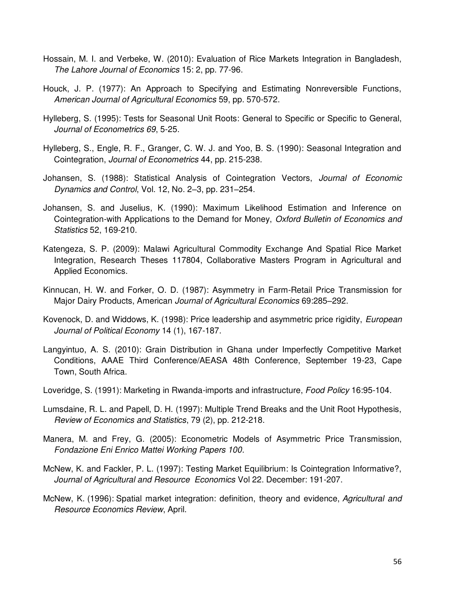- Hossain, M. I. and Verbeke, W. (2010): Evaluation of Rice Markets Integration in Bangladesh, *The Lahore Journal of Economics* 15: 2, pp. 77-96.
- Houck, J. P. (1977): An Approach to Specifying and Estimating Nonreversible Functions, *American Journal of Agricultural Economics* 59, pp. 570-572.
- Hylleberg, S. (1995): Tests for Seasonal Unit Roots: General to Specific or Specific to General, *Journal of Econometrics 69*, 5-25.
- Hylleberg, S., Engle, R. F., Granger, C. W. J. and Yoo, B. S. (1990): Seasonal Integration and Cointegration, *Journal of Econometrics* 44, pp. 215-238.
- Johansen, S. (1988): Statistical Analysis of Cointegration Vectors, *Journal of Economic Dynamics and Control*, Vol. 12, No. 2–3, pp. 231–254.
- Johansen, S. and Juselius, K. (1990): Maximum Likelihood Estimation and Inference on Cointegration-with Applications to the Demand for Money, *Oxford Bulletin of Economics and Statistics* 52, 169-210.
- Katengeza, S. P. (2009): Malawi Agricultural Commodity Exchange And Spatial Rice Market Integration, Research Theses 117804, Collaborative Masters Program in Agricultural and Applied Economics.
- Kinnucan, H. W. and Forker, O. D. (1987): Asymmetry in Farm-Retail Price Transmission for Major Dairy Products, American *Journal of Agricultural Economics* 69:285–292.
- Kovenock, D. and Widdows, K. (1998): Price leadership and asymmetric price rigidity, *European Journal of Political Economy* 14 (1), 167-187.
- Langyintuo, A. S. (2010): Grain Distribution in Ghana under Imperfectly Competitive Market Conditions, AAAE Third Conference/AEASA 48th Conference, September 19-23, Cape Town, South Africa.
- Loveridge, S. (1991): Marketing in Rwanda-imports and infrastructure, *Food Policy* 16:95-104.
- Lumsdaine, R. L. and Papell, D. H. (1997): Multiple Trend Breaks and the Unit Root Hypothesis, *Review of Economics and Statistics*, 79 (2), pp. 212-218.
- Manera, M. and Frey, G. (2005): Econometric Models of Asymmetric Price Transmission, *Fondazione Eni Enrico Mattei Working Papers 100*.
- McNew, K. and Fackler, P. L. (1997): Testing Market Equilibrium: Is Cointegration Informative?, *Journal of Agricultural and Resource Economics* Vol 22. December: 191-207.
- McNew, K. (1996): Spatial market integration: definition, theory and evidence, *Agricultural and Resource Economics Review*, April.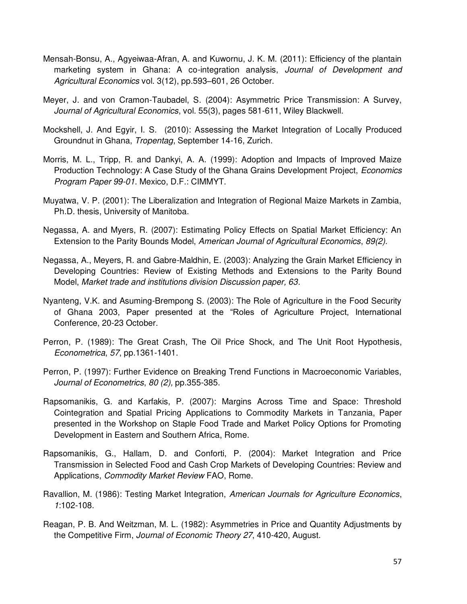- Mensah-Bonsu, A., Agyeiwaa-Afran, A. and Kuwornu, J. K. M. (2011): Efficiency of the plantain marketing system in Ghana: A co-integration analysis, *Journal of Development and Agricultural Economics* vol. 3(12), pp.593–601, 26 October.
- Meyer, J. and von Cramon-Taubadel, S. (2004): Asymmetric Price Transmission: A Survey, *Journal of Agricultural Economics*, vol. 55(3), pages 581-611, Wiley Blackwell.
- Mockshell, J. And Egyir, I. S. (2010): Assessing the Market Integration of Locally Produced Groundnut in Ghana, *Tropentag*, September 14-16, Zurich.
- Morris, M. L., Tripp, R. and Dankyi, A. A. (1999): Adoption and Impacts of Improved Maize Production Technology: A Case Study of the Ghana Grains Development Project, *Economics Program Paper 99-01*. Mexico, D.F.: CIMMYT.
- Muyatwa, V. P. (2001): The Liberalization and Integration of Regional Maize Markets in Zambia, Ph.D. thesis, University of Manitoba.
- Negassa, A. and Myers, R. (2007): Estimating Policy Effects on Spatial Market Efficiency: An Extension to the Parity Bounds Model, *American Journal of Agricultural Economics*, *89(2).*
- Negassa, A., Meyers, R. and Gabre-Maldhin, E. (2003): Analyzing the Grain Market Efficiency in Developing Countries: Review of Existing Methods and Extensions to the Parity Bound Model, *Market trade and institutions division Discussion paper, 63*.
- Nyanteng, V.K. and Asuming-Brempong S. (2003): The Role of Agriculture in the Food Security of Ghana 2003, Paper presented at the "Roles of Agriculture Project, International Conference, 20-23 October.
- Perron, P. (1989): The Great Crash, The Oil Price Shock, and The Unit Root Hypothesis, *Econometrica*, *57*, pp.1361-1401.
- Perron, P. (1997): Further Evidence on Breaking Trend Functions in Macroeconomic Variables, *Journal of Econometrics*, *80 (2),* pp.355-385.
- Rapsomanikis, G. and Karfakis, P. (2007): Margins Across Time and Space: Threshold Cointegration and Spatial Pricing Applications to Commodity Markets in Tanzania, Paper presented in the Workshop on Staple Food Trade and Market Policy Options for Promoting Development in Eastern and Southern Africa, Rome.
- Rapsomanikis, G., Hallam, D. and Conforti, P. (2004): Market Integration and Price Transmission in Selected Food and Cash Crop Markets of Developing Countries: Review and Applications, *Commodity Market Review* FAO, Rome.
- Ravallion, M. (1986): Testing Market Integration, *American Journals for Agriculture Economics*, *1*:102-108.
- Reagan, P. B. And Weitzman, M. L. (1982): Asymmetries in Price and Quantity Adjustments by the Competitive Firm, *Journal of Economic Theory 27*, 410-420, August.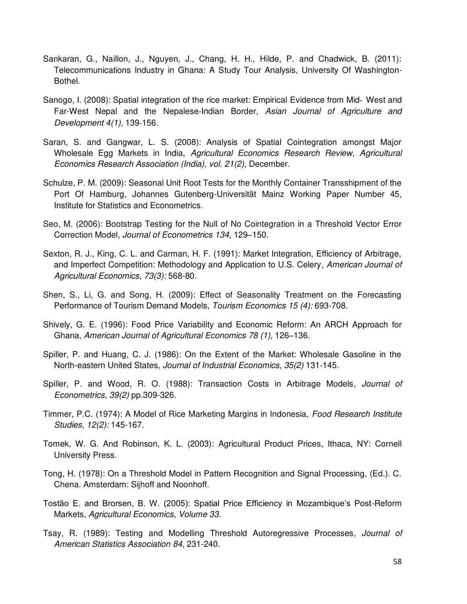- Sankaran, G., Naillon, J., Nguyen, J., Chang, H. H., Hilde, P. and Chadwick, B. (2011): Telecommunications Industry in Ghana: A Study Tour Analysis, University Of Washington-Bothel.
- Sanogo, I. (2008): Spatial integration of the rice market: Empirical Evidence from Mid‐ West and Far-West Nepal and the Nepalese‐Indian Border, *Asian Journal of Agriculture and Development 4(1),* 139‐156.
- Saran, S. and Gangwar, L. S. (2008): Analysis of Spatial Cointegration amongst Major Wholesale Egg Markets in India, *Agricultural Economics Research Review*, *Agricultural Economics Research Association (India), vol. 21(2),* December.
- Schulze, P. M. (2009): Seasonal Unit Root Tests for the Monthly Container Transshipment of the Port Of Hamburg, Johannes Gutenberg-Universität Mainz Working Paper Number 45, Institute for Statistics and Econometrics.
- Seo, M. (2006): Bootstrap Testing for the Null of No Cointegration in a Threshold Vector Error Correction Model, *Journal of Econometrics 134*, 129–150.
- Sexton, R. J., King, C. L. and Carman, H. F. (1991): Market Integration, Efficiency of Arbitrage, and Imperfect Competition: Methodology and Application to U.S. Celery, *American Journal of Agricultural Economics*, *73(3):* 568-80.
- Shen, S., Li, G. and Song, H. (2009): Effect of Seasonality Treatment on the Forecasting Performance of Tourism Demand Models, *Tourism Economics 15 (4):* 693-708.
- Shively, G. E. (1996): Food Price Variability and Economic Reform: An ARCH Approach for Ghana, *American Journal of Agricultural Economics 78 (1),* 126–136.
- Spiller, P. and Huang, C. J. (1986): On the Extent of the Market: Wholesale Gasoline in the North-eastern United States, *Journal of Industrial Economics*, *35(2)* 131-145.
- Spiller, P. and Wood, R. O. (1988): Transaction Costs in Arbitrage Models, *Journal of Econometrics*, *39(2)* pp.309-326.
- Timmer, P.C. (1974): A Model of Rice Marketing Margins in Indonesia, *Food Research Institute Studies, 12(2):* 145-167.
- Tomek, W. G. And Robinson, K. L. (2003): Agricultural Product Prices, Ithaca, NY: Cornell University Press.
- Tong, H. (1978): On a Threshold Model in Pattern Recognition and Signal Processing, (Ed.). C. Chena. Amsterdam: Sijhoff and Noonhoff.
- Tostão E. and Brorsen, B. W. (2005): Spatial Price Efficiency in Mozambique's Post-Reform Markets, *Agricultural Economics*, *Volume 33*.
- Tsay, R. (1989): Testing and Modelling Threshold Autoregressive Processes, *Journal of American Statistics Association 84*, 231-240.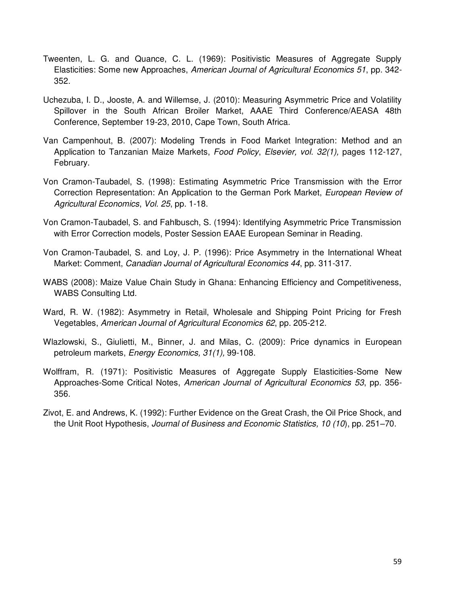- Tweenten, L. G. and Quance, C. L. (1969): Positivistic Measures of Aggregate Supply Elasticities: Some new Approaches, *American Journal of Agricultural Economics 51*, pp. 342- 352.
- Uchezuba, I. D., Jooste, A. and Willemse, J. (2010): Measuring Asymmetric Price and Volatility Spillover in the South African Broiler Market, AAAE Third Conference/AEASA 48th Conference, September 19-23, 2010, Cape Town, South Africa.
- Van Campenhout, B. (2007): Modeling Trends in Food Market Integration: Method and an Application to Tanzanian Maize Markets, *Food Policy*, *Elsevier, vol. 32(1),* pages 112-127, February.
- Von Cramon-Taubadel, S. (1998): Estimating Asymmetric Price Transmission with the Error Correction Representation: An Application to the German Pork Market, *European Review of Agricultural Economics*, *Vol. 25*, pp. 1-18.
- Von Cramon-Taubadel, S. and Fahlbusch, S. (1994): Identifying Asymmetric Price Transmission with Error Correction models, Poster Session EAAE European Seminar in Reading.
- Von Cramon-Taubadel, S. and Loy, J. P. (1996): Price Asymmetry in the International Wheat Market: Comment, *Canadian Journal of Agricultural Economics 44*, pp. 311-317.
- WABS (2008): Maize Value Chain Study in Ghana: Enhancing Efficiency and Competitiveness, WABS Consulting Ltd.
- Ward, R. W. (1982): Asymmetry in Retail, Wholesale and Shipping Point Pricing for Fresh Vegetables, *American Journal of Agricultural Economics 62*, pp. 205-212.
- Wlazlowski, S., Giulietti, M., Binner, J. and Milas, C. (2009): Price dynamics in European petroleum markets, *Energy Economics, 31(1),* 99-108.
- Wolffram, R. (1971): Positivistic Measures of Aggregate Supply Elasticities-Some New Approaches-Some Critical Notes, *American Journal of Agricultural Economics 53*, pp. 356- 356.
- Zivot, E. and Andrews, K. (1992): Further Evidence on the Great Crash, the Oil Price Shock, and the Unit Root Hypothesis, *Journal of Business and Economic Statistics, 10 (10*), pp. 251–70.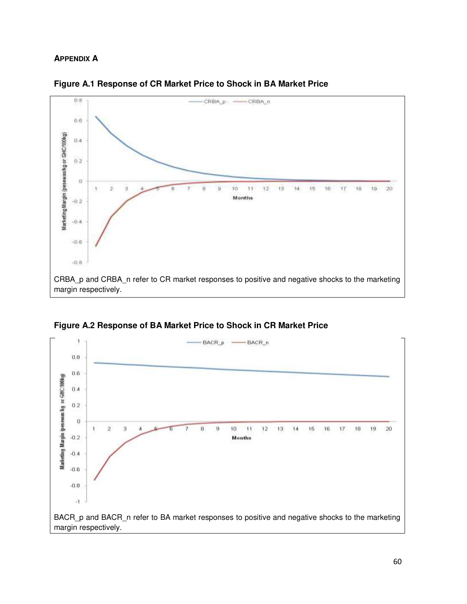# **APPENDIX A**



<span id="page-61-0"></span>

 $\mathbf{1}$ BACR\_p  $-BACR_n$  $0.8$  $0.6$ Margin (pesewas kg or GHC/MMg)  $0.4$  $0.2$  $\theta$  $\overline{2}$ ä  $\boldsymbol{A}$  $\mathbf B$  $\overline{9}$  $10$  $11$  $12$  $13$  $14$  $16$ 16  $17$ 18  $19.$ 20  $-0.2$ **Months** Marketing  $-0.4$  $-0.6$  $-0.8$  $\alpha^2$ BACR\_p and BACR\_n refer to BA market responses to positive and negative shocks to the marketing margin respectively.

<span id="page-61-1"></span>**Figure A.2 Response of BA Market Price to Shock in CR Market Price**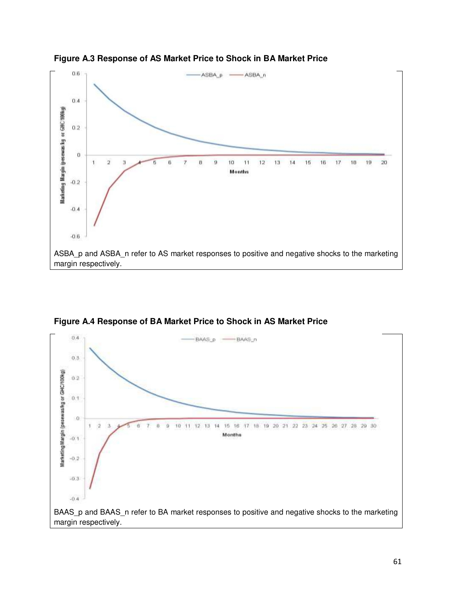

<span id="page-62-0"></span>**Figure A.3 Response of AS Market Price to Shock in BA Market Price** 



<span id="page-62-1"></span>**Figure A.4 Response of BA Market Price to Shock in AS Market Price**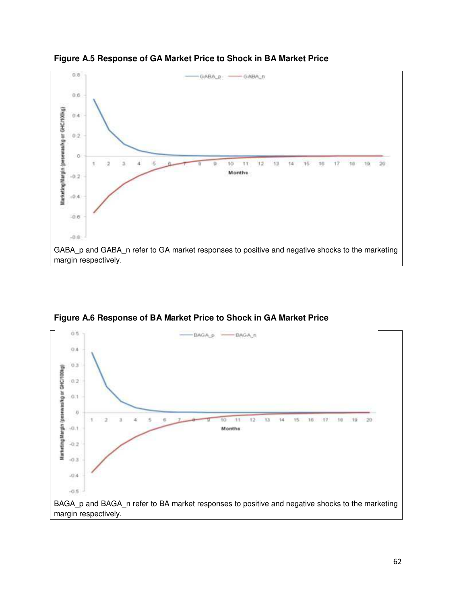

<span id="page-63-0"></span>

<span id="page-63-1"></span>**Figure A.6 Response of BA Market Price to Shock in GA Market Price** 

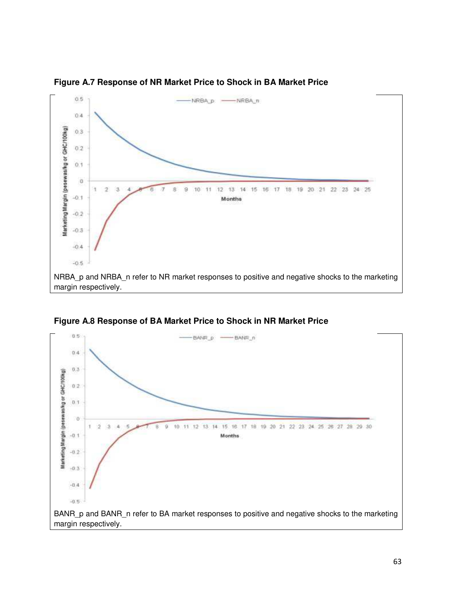

<span id="page-64-0"></span>**Figure A.7 Response of NR Market Price to Shock in BA Market Price** 



<span id="page-64-1"></span>**Figure A.8 Response of BA Market Price to Shock in NR Market Price**